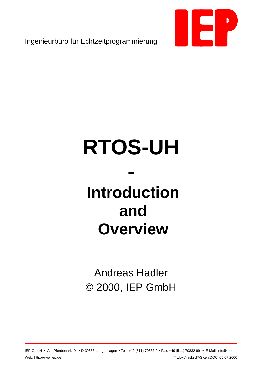

Ingenieurbüro für Echtzeitprogrammierung

# **RTOS-UH**

## **- Introduction and Overview**

Andreas Hadler © 2000, IEP GmbH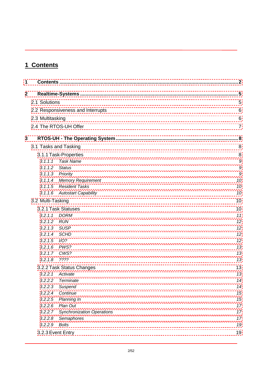## **1 Contents**

| 1            |                       |                                   | $\overline{2}$      |  |  |  |  |
|--------------|-----------------------|-----------------------------------|---------------------|--|--|--|--|
| $\mathbf{2}$ |                       |                                   |                     |  |  |  |  |
|              | 2.1 Solutions         |                                   | 5                   |  |  |  |  |
|              |                       | 2.2 Responsiveness and Interrupts | 6                   |  |  |  |  |
|              | 2.3 Multitasking      |                                   |                     |  |  |  |  |
|              |                       | 2.4 The RTOS-UH Offer             | 6<br>$\overline{7}$ |  |  |  |  |
| $\mathbf{3}$ |                       |                                   | 8                   |  |  |  |  |
|              | 3.1 Tasks and Tasking |                                   | 8                   |  |  |  |  |
|              |                       | 3.1.1 Task-Properties             | 8                   |  |  |  |  |
|              | 3.1.1.1               | <b>Task Name</b>                  | 9                   |  |  |  |  |
|              | 3.1.1.2               | <b>Status</b>                     | g                   |  |  |  |  |
|              |                       | 3.1.1.3 Priority                  | 9                   |  |  |  |  |
|              |                       | 3.1.1.4 Memory Requirement        | 10                  |  |  |  |  |
|              |                       | 3.1.1.5 Resident Tasks            | 10                  |  |  |  |  |
|              |                       | 3.1.1.6 Autostart Capability      | 10                  |  |  |  |  |
|              | 3.2 Multi-Tasking     |                                   | 10                  |  |  |  |  |
|              |                       | 3.2.1 Task Statuses               | 10                  |  |  |  |  |
|              | 3.2.1.1               | <b>DORM</b>                       | 11                  |  |  |  |  |
|              | 3.2.1.2               | RUN                               | 12                  |  |  |  |  |
|              | 3.2.1.3               | <b>SUSP</b>                       | 12                  |  |  |  |  |
|              | 3.2.1.4               | <b>SCHD</b>                       | 12                  |  |  |  |  |
|              | 3.2.1.5               | I/O?                              | 12                  |  |  |  |  |
|              | 3.2.1.6               | PWS?                              | 13                  |  |  |  |  |
|              | 3.2.1.7               | CWS?                              | 13                  |  |  |  |  |
|              | 3.2.1.8               | ????                              | 13                  |  |  |  |  |
|              |                       | 3.2.2 Task Status Changes         | 13                  |  |  |  |  |
|              | 3.2.2.1               | Activate                          | 13                  |  |  |  |  |
|              | 3.2.2.2               | Terminate                         | 14                  |  |  |  |  |
|              | 3.2.2.3               | Suspend                           | 14                  |  |  |  |  |
|              | 3.2.2.4               | Continue                          | 15                  |  |  |  |  |
|              | 3.2.2.5               | Planning In                       | 15                  |  |  |  |  |
|              | 3.2.2.6               | Plan Out                          | 17                  |  |  |  |  |
|              | 3.2.2.7               | <b>Synchronization Operations</b> | 17                  |  |  |  |  |
|              | 3.2.2.8               | Semaphores                        | 17                  |  |  |  |  |
|              | 3.2.2.9               | <b>Bolts</b>                      | 19                  |  |  |  |  |
|              | 3.2.3 Event Entry     |                                   | 19                  |  |  |  |  |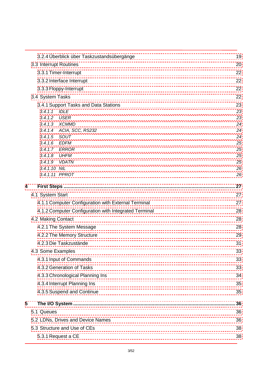|   | 3.2.4 Überblick über Taskzustandsübergänge            | 19       |  |  |  |  |  |  |
|---|-------------------------------------------------------|----------|--|--|--|--|--|--|
|   | 3.3 Interrupt Routines                                | 20       |  |  |  |  |  |  |
|   | 3.3.1 Timer-Interrupt                                 | 22       |  |  |  |  |  |  |
|   | 3.3.2 Interface Interrupt                             |          |  |  |  |  |  |  |
|   | 3.3.3 Floppy-Interrupt                                | 22       |  |  |  |  |  |  |
|   | 3.4 System Tasks                                      | 22       |  |  |  |  |  |  |
|   | 3.4.1 Support Tasks and Data Stations                 | 23       |  |  |  |  |  |  |
|   | 3.4.1.1<br><b>IDLE</b>                                | 23       |  |  |  |  |  |  |
|   | 3.4.1.2<br><b>USER</b>                                | 23       |  |  |  |  |  |  |
|   | 3.4.1.3 XCMMD                                         | 24       |  |  |  |  |  |  |
|   | 3.4.1.4 ACIA, SCC, RS232                              | 24       |  |  |  |  |  |  |
|   | 3.4.1.5<br>SOUT<br>3.4.1.6 EDFM                       | 24<br>25 |  |  |  |  |  |  |
|   | 3.4.1.7 ERROR                                         | 25       |  |  |  |  |  |  |
|   | 3.4.1.8<br><b>UHFM</b>                                | 25       |  |  |  |  |  |  |
|   | 3.4.1.9<br>VDATN                                      | 25       |  |  |  |  |  |  |
|   | 3.4.1.10 NIL                                          | 26       |  |  |  |  |  |  |
|   | 3.4.1.11 PPROT                                        | 26       |  |  |  |  |  |  |
| 4 |                                                       | 27       |  |  |  |  |  |  |
|   | 4.1 System Start                                      | 27       |  |  |  |  |  |  |
|   | 4.1.1 Computer Configuration with External Terminal   | 27       |  |  |  |  |  |  |
|   | 4.1.2 Computer Configuration with Integrated Terminal | 28       |  |  |  |  |  |  |
|   | 4.2 Making Contact                                    | 28       |  |  |  |  |  |  |
|   | 4.2.1 The System Message                              | 28       |  |  |  |  |  |  |
|   | 4.2.2 The Memory Structure                            | 29       |  |  |  |  |  |  |
|   | 4.2.3 Die Taskzustände                                | 31       |  |  |  |  |  |  |
|   | 4.3 Some Examples                                     | 33       |  |  |  |  |  |  |
|   | 4.3.1 Input of Commands                               | 33       |  |  |  |  |  |  |
|   | 4.3.2 Generation of Tasks                             | 33       |  |  |  |  |  |  |
|   | 4.3.3 Chronological Planning Ins                      | 34       |  |  |  |  |  |  |
|   | 4.3.4 Interrupt Planning Ins                          | 35       |  |  |  |  |  |  |
|   | 4.3.5 Suspend and Continue                            | 35       |  |  |  |  |  |  |
| 5 |                                                       | 36       |  |  |  |  |  |  |
|   | 5.1 Queues                                            | 36       |  |  |  |  |  |  |
|   | 5.2 LDNs, Drives and Device Names                     | 36       |  |  |  |  |  |  |
|   | 5.3 Structure and Use of CEs                          | 38       |  |  |  |  |  |  |
|   | 5.3.1 Request a CE                                    | 38       |  |  |  |  |  |  |
|   |                                                       |          |  |  |  |  |  |  |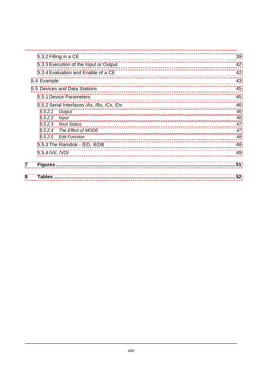| 8              | Tables                                     | 52 |
|----------------|--------------------------------------------|----|
| $\overline{7}$ | <b>Figures</b>                             | 51 |
|                | 5.5.4 / VI/, / VO/                         | 49 |
|                | 5.5.3 The Ramdisk - /ED, /EDB              | 48 |
|                | 5.5.2.5 Edit Function                      | 48 |
|                | 5.5.2.4 The Effect of MODE                 | 47 |
|                | 5.5.2.3 Rest Status                        | 47 |
|                | 5.5.2.2<br><b>Input</b>                    | 46 |
|                | 5.5.2.1<br>Output                          | 46 |
|                | 5.5.2 Serial Interfaces /Ax, /Bx, /Cx, /Dx | 46 |
|                | 5.5.1 Device Parameters                    | 45 |
|                | 5.5 Devices and Data Stations              | 45 |
|                | 5.4 Example                                | 43 |
|                | 5.3.4 Evaluation and Enable of a CE        | 42 |
|                | 5.3.3 Execution of the Input or Output     | 42 |
|                | 5.3.2 Filling in a CE                      | 39 |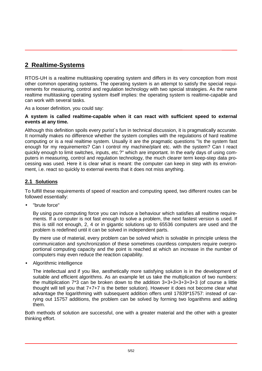## <span id="page-4-0"></span>**2 Realtime-Systems**

RTOS-UH is a realtime multitasking operating system and differs in its very conception from most other common operating systems. The operating system is an attempt to satisfy the special requirements for measuring, control and regulation technology with two special strategies. As the name realtime multitasking operating system itself implies: the operating system is realtime-capable and can work with several tasks.

As a looser definition, you could say:

#### **A system is called realtime-capable when it can react with sufficient speed to external events at any time.**

Although this definition spoils every purist´s fun in technical discussion, it is pragmatically accurate. It normally makes no difference whether the system complies with the regulations of hard realtime computing or is a real realtime system. Usually it are the pragmatic questions "Is the system fast enough for my requirements? Can I control my machine/plant etc. with the system? Can I react quickly enough to limit switches, inputs, etc.?" which are important. In the early days of using computers in measuring, control and regulation technology, the much clearer term keep-step data processing was used. Here it is clear what is meant: the computer can keep in step with its environment, i.e. react so quickly to external events that it does not miss anything.

#### **2.1 Solutions**

To fulfill these requirements of speed of reaction and computing speed, two different routes can be followed essentially:

• "brute force"

By using pure computing force you can induce a behaviour which satisfies all realtime requirements. If a computer is not fast enough to solve a problem, the next fastest version is used. If this is still not enough, 2, 4 or in gigantic solutions up to 65536 computers are used and the problem is redefined until it can be solved in independent parts.

By mere use of material, every problem can be solved which is solvable in principle unless the communication and synchronization of these sometimes countless computers require overproportional computing capacity and the point is reached at which an increase in the number of computers may even reduce the reaction capability.

• Algorithmic intelligence

The intellectual and if you like, aesthetically more satisfying solution is in the development of suitable and efficient algorithms. As an example let us take the multiplication of two numbers: the multiplication 7\*3 can be broken down to the addition 3+3+3+3+3+3+3 (of course a little thought will tell you that 7+7+7 is the better solution). However it does not become clear what advantage the logarithming with subsequent addition offers until 17839\*15757: instead of carrying out 15757 additions, the problem can be solved by forming two logarithms and adding them.

Both methods of solution are successful, one with a greater material and the other with a greater thinking effort.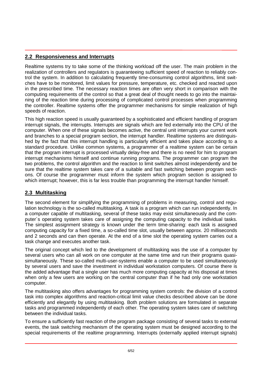#### <span id="page-5-0"></span>**2.2 Responsiveness and Interrupts**

Realtime systems try to take some of the thinking workload off the user. The main problem in the realization of controllers and regulators is guaranteeing sufficient speed of reaction to reliably control the system. In addition to calculating frequently time-consuming control algorithms, limit switches have to be monitored, limit values for pressure, temperature, etc. checked and reacted upon in the prescribed time. The necessary reaction times are often very short in comparison with the computing requirements of the control so that a great deal of thought needs to go into the maintaining of the reaction time during processing of complicated control processes when programming the controller. Realtime systems offer the programmer mechanisms for simple realization of high speeds of reaction.

This high reaction speed is usually guaranteed by a sophisticated and efficient handling of program interrupt signals, the interrupts. Interrupts are signals which are fed externally into the CPU of the computer. When one of these signals becomes active, the central unit interrupts your current work and branches to a special program section, the interrupt handler. Realtime systems are distinguished by the fact that this interrupt handling is particularly efficient and takes place according to a standard procedure. Unlike common systems, a programmer of a realtime system can be certain that the program interrupt is processed virtually delay-free and there is no need for him to program interrupt mechanisms himself and continue running programs. The programmer can program the two problems, the control algorithm and the reaction to limit switches almost independently and be sure that the realtime system takes care of a suitable and fast switching between program sections. Of course the programmer must inform the system which program section is assigned to which interrupt; however, this is far less trouble than programming the interrupt handler himself.

#### **2.3 Multitasking**

The second element for simplifying the programming of problems in measuring, control and regulation technology is the so-called multitasking. A task is a program which can run independently. In a computer capable of multitasking, several of these tasks may exist simultaneously and the computer´s operating system takes care of assigning the computing capacity to the individual tasks. The simplest assignment strategy is known under the term time-sharing: each task is assigned computing capacity for a fixed time, a so-called time slot, usually between approx. 20 milliseconds and 2 seconds and can then operate. At the end of a time slot the operating system carries out a task change and executes another task.

The original concept which led to the development of multitasking was the use of a computer by several users who can all work on one computer at the same time and run their programs quasisimultaneously. These so-called multi-user-systems enable a computer to be used simultaneously by several users and save the investment in individual workstation computers. Of course there is the added advantage that a single user has much more computing capacity at his disposal at times when only a few users are working on the central computer than if he had only one workstation computer.

The multitasking also offers advantages for programming system controls: the division of a control task into complex algorithms and reaction-critical limit value checks described above can be done efficiently and elegantly by using multitasking. Both problem solutions are formulated in separate tasks and programmed independently of each other. The operating system takes care of switching between the individual tasks.

To ensure a sufficiently fast reaction of the program package consisting of several tasks to external events, the task switching mechanism of the operating system must be designed according to the special requirements of the realtime programming. Interrupts (externally applied interrupt signals)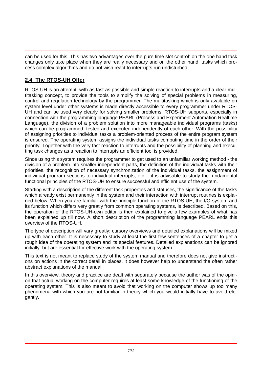<span id="page-6-0"></span>can be used for this. This has two advantages over the pure time slot control: on the one hand task changes only take place when they are really necessary and on the other hand, tasks which process complex algorithms and do not wish react to interrupts run undisturbed.

#### **2.4 The RTOS-UH Offer**

RTOS-UH is an attempt, with as fast as possible and simple reaction to interrupts and a clear multitasking concept, to provide the tools to simplify the solving of special problems in measuring, control and regulation technology by the programmer. The multitasking which is only available on system level under other systems is made directly accessible to every programmer under RTOS-UH and can be used very clearly for solving smaller problems. RTOS-UH supports, especially in connection with the programming language PEARL (Process and Experiment Automation Realtime Language), the division of a problem solution into more manageable individual programs (tasks) which can be programmed, tested and executed independently of each other. With the possibility of assigning priorities to individual tasks a problem-oriented process of the entire program system is ensured. The operating system assigns the individual tasks computing time in the order of their priority. Together with the very fast reaction to interrupts and the possibility of planning and executing task changes as a reaction to interrupts an efficient tool is provided.

Since using this system requires the programmer to get used to an unfamiliar working method - the division of a problem into smaller independent parts, the definition of the individual tasks with their priorities, the recognition of necessary synchronization of the individual tasks, the assignment of individual program sections to individual interrupts, etc. - it is advisable to study the fundamental functional principles of the RTOS-UH to ensure successful and efficient use of the system.

Starting with a description of the different task properties and statuses, the significance of the tasks which already exist permanently in the system and their interaction with interrupt routines is explained below. When you are familiar with the principle function of the RTOS-UH, the I/O system and its function which differs very greatly from common operating systems, is described. Based on this, the operation of the RTOS-UH-own editor is then explained to give a few examples of what has been explained up till now. A short description of the programming language PEARL ends this overview of the RTOS-UH.

The type of description will vary greatly: cursory overviews and detailed explanations will be mixed up with each other. It is necessary to study at least the first few sentences of a chapter to get a rough idea of the operating system and its special features. Detailed explanations can be ignored initially but are essential for effective work with the operating system.

This text is not meant to replace study of the system manual and therefore does not give instructions on actions in the correct detail in places, it does however help to understand the often rather abstract explanations of the manual.

In this overview, theory and practice are dealt with separately because the author was of the opinion that actual working on the computer requires at least some knowledge of the functioning of the operating system. This is also meant to avoid that working on the computer shows up too many phenomena with which you are not familiar in theory which you would initially have to avoid elegantly.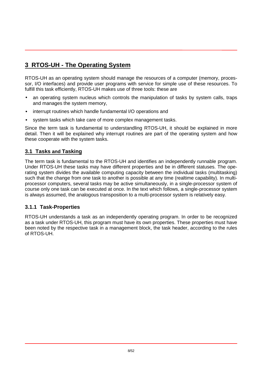## <span id="page-7-0"></span>**3 RTOS-UH - The Operating System**

RTOS-UH as an operating system should manage the resources of a computer (memory, processor, I/O interfaces) and provide user programs with service for simple use of these resources. To fulfill this task efficiently, RTOS-UH makes use of three tools: these are

- an operating system nucleus which controls the manipulation of tasks by system calls, traps and manages the system memory,
- interrupt routines which handle fundamental I/O operations and
- system tasks which take care of more complex management tasks.

Since the term task is fundamental to understandling RTOS-UH, it should be explained in more detail. Then it will be explained why interrupt routines are part of the operating system and how these cooperate with the system tasks.

#### **3.1 Tasks and Tasking**

The term task is fundamental to the RTOS-UH and identifies an independently runnable program. Under RTOS-UH these tasks may have different properties and be in different statuses. The operating system divides the available computing capacity between the individual tasks (multitasking) such that the change from one task to another is possible at any time (realtime capability). In multiprocessor computers, several tasks may be active simultaneously, in a single-processor system of course only one task can be executed at once. In the text which follows, a single-processor system is always assumed, the analogous transposition to a multi-processor system is relatively easy.

#### **3.1.1 Task-Properties**

RTOS-UH understands a task as an independently operating program. In order to be recognized as a task under RTOS-UH, this program must have its own properties. These properties must have been noted by the respective task in a management block, the task header, according to the rules of RTOS-UH.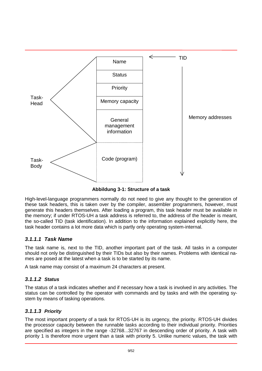<span id="page-8-0"></span>

**Abbildung 3-1: Structure of a task**

High-level-language programmers normally do not need to give any thought to the generation of these task headers, this is taken over by the compiler, assembler programmers, however, must generate this headers themselves. After loading a program, this task header must be available in the memory; if under RTOS-UH a task address is referred to, the address of the header is meant, the so-called TID (task identification). In addition to the information explained explicitly here, the task header contains a lot more data which is partly only operating system-internal.

#### *3.1.1.1 Task Name*

The task name is, next to the TID, another important part of the task. All tasks in a computer should not only be distinguished by their TIDs but also by their names. Problems with identical names are posed at the latest when a task is to be started by its name.

A task name may consist of a maximum 24 characters at present.

#### *3.1.1.2 Status*

The status of a task indicates whether and if necessary how a task is involved in any activities. The status can be controlled by the operator with commands and by tasks and with the operating system by means of tasking operations.

#### *3.1.1.3 Priority*

The most important property of a task for RTOS-UH is its urgency, the priority. RTOS-UH divides the processor capacity between the runnable tasks according to their individual priority. Priorities are specified as integers in the range -32768...32767 in descending order of priority. A task with priority 1 is therefore more urgent than a task with priority 5. Unlike numeric values, the task with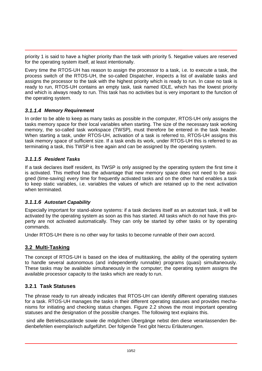<span id="page-9-0"></span>priority 1 is said to have a higher priority than the task with priority 5. Negative values are reserved for the operating system itself, at least intentionally.

Every time the RTOS-UH has reason to assign the processor to a task, i.e. to execute a task, the process switch of the RTOS-UH, the so-called Dispatcher, inspects a list of available tasks and assigns the processor to the task with the highest priority which is ready to run. In case no task is ready to run, RTOS-UH contains an empty task, task named IDLE, which has the lowest priority and which is always ready to run. This task has no activities but is very important to the function of the operating system.

#### *3.1.1.4 Memory Requirement*

In order to be able to keep as many tasks as possible in the computer, RTOS-UH only assigns the tasks memory space for their local variables when starting. The size of the necessary task working memory, the so-called task workspace (TWSP), must therefore be entered in the task header. When starting a task, under RTOS-UH, activation of a task is referred to, RTOS-UH assigns this task memory space of sufficient size. If a task ends its work, under RTOS-UH this is referred to as terminating a task, this TWSP is free again and can be assigned by the operating system.

#### *3.1.1.5 Resident Tasks*

If a task declares itself resident, its TWSP is only assigned by the operating system the first time it is activated. This method has the advantage that new memory space does not need to be assigned (time-saving) every time for frequently activated tasks and on the other hand enables a task to keep static variables, i.e. variables the values of which are retained up to the next activation when terminated.

#### *3.1.1.6 Autostart Capability*

Especially important for stand-alone systems: if a task declares itself as an autostart task, it will be activated by the operating system as soon as this has started. All tasks which do not have this property are not activated automatically. They can only be started by other tasks or by operating commands.

Under RTOS-UH there is no other way for tasks to become runnable of their own accord.

#### **3.2 Multi-Tasking**

The concept of RTOS-UH is based on the idea of multitasking, the ability of the operating system to handle several autonomous (and independently runnable) programs (quasi) simultaneously. These tasks may be available simultaneously in the computer; the operating system assigns the available processor capacity to the tasks which are ready to run.

#### **3.2.1 Task Statuses**

The phrase ready to run already indicates that RTOS-UH can identify different operating statuses for a task. RTOS-UH manages the tasks in their different operating statuses and provides mechanisms for initiating and checking status changes. Figure 2.2 shows the most important operating statuses and the designation of the possible changes. The following text explains this.

 sind alle Betriebszustände sowie die möglichen Übergänge nebst den diese veranlassenden Bedienbefehlen exemplarisch aufgeführt. Der folgende Text gibt hierzu Erläuterungen.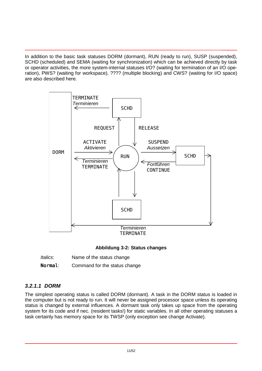<span id="page-10-0"></span>In addition to the basic task statuses DORM (dormant), RUN (ready to run), SUSP (suspended), SCHD (scheduled) and SEMA (waiting for synchronization) which can be achieved directly by task or operator activities, the more system-internal statuses I/O? (waiting for termination of an I/O operation), PWS? (waiting for workspace), ???? (multiple blocking) and CWS? (waiting for I/O space) are also described here.



#### **Abbildung 3-2: Status changes**

| Italics: | Name of the status change |
|----------|---------------------------|
|----------|---------------------------|

Normal: Command for the status change

#### *3.2.1.1 DORM*

The simplest operating status is called DORM (dormant). A task in the DORM status is loaded in the computer but is not ready to run. It will never be assigned processor space unless its operating status is changed by external influences. A dormant task only takes up space from the operating system for its code and if nec. (resident tasks!) for static variables. In all other operating statuses a task certainly has memory space for its TWSP (only exception see change Activate).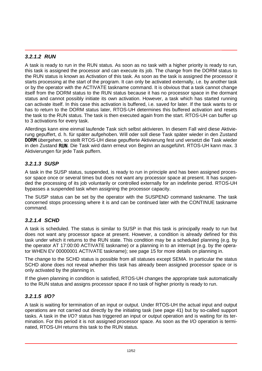#### <span id="page-11-0"></span>*3.2.1.2 RUN*

A task is ready to run in the RUN status. As soon as no task with a higher priority is ready to run, this task is assigned the processor and can execute its job. The change from the DORM status to the RUN status is known as Activation of this task. As soon as the task is assigned the processor it starts processing at the start of the program. It can only be activated externally, i.e. by another task or by the operator with the ACTIVATE taskname command. It is obvious that a task cannot change itself from the DORM status to the RUN status because it has no processor space in the dormant status and cannot possibly initiate its own activation. However, a task which has started running can activate itself. In this case this activation is buffered, i.e. saved for later. If the task wants to or has to return to the DORM status later, RTOS-UH determines this buffered activation and resets the task to the RUN status. The task is then executed again from the start. RTOS-UH can buffer up to 3 activations for every task.

Allerdings kann eine einmal laufende Task sich selbst aktivieren. In diesem Fall wird diese Aktivierung gepuffert, d. h. für später aufgehoben. Will oder soll diese Task später wieder in den Zustand DORM übergehen, so stellt RTOS-UH diese gepufferte Aktivierung fest und versetzt die Task wieder in den Zustand RUN. Die Task wird dann erneut von Beginn an ausgeführt. RTOS-UH kann max. 3 Aktivierungen für jede Task puffern.

#### *3.2.1.3 SUSP*

A task in the SUSP status, suspended, is ready to run in principle and has been assigned processor space once or several times but does not want any processor space at present. It has suspended the processing of its job voluntarily or controlled externally for an indefinite period. RTOS-UH bypasses a suspended task when assigning the processor capacity.

The SUSP status can be set by the operator with the SUSPEND command taskname. The task concerned stops processing where it is and can be continued later with the CONTINUE taskname command.

#### *3.2.1.4 SCHD*

A task is scheduled. The status is similar to SUSP in that this task is principally ready to run but does not want any processor space at present. However, a condition is already defined for this task under which it returns to the RUN state. This condition may be a scheduled planning (e.g. by the operator AT 17:00:00 ACTIVATE taskname) or a planning in to an interrupt (e.g. by the operator WHEN EV 00000001 ACTIVATE taskname); see page 15 for more details on planning in.

The change to the SCHD status is possible from all statuses except SEMA. In particular the status SCHD alone does not reveal whether this task has already been assigned processor space or is only activated by the planning in.

If the given planning in condition is satisfied, RTOS-UH changes the appropriate task automatically to the RUN status and assigns processor space if no task of higher priority is ready to run.

#### *3.2.1.5 I/O?*

A task is waiting for termination of an input or output. Under RTOS-UH the actual input and output operations are not carried out directly by the initiating task (see page 41) but by so-called support tasks. A task in the I/O? status has triggered an input or output operation and is waiting for its termination. For this period it is not assigned processor space. As soon as the I/O operation is terminated, RTOS-UH returns this task to the RUN status.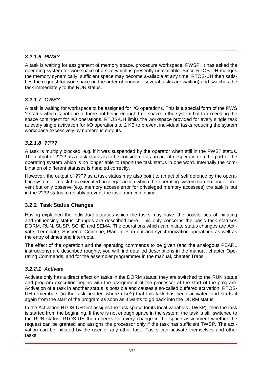#### <span id="page-12-0"></span>*3.2.1.6 PWS?*

A task is waiting for assignment of memory space, procedure workspace, PWSP. It has asked the operating system for workspace of a size which is presently unavailable. Since RTOS-UH manges the memory dynamically, sufficient space may become available at any time. RTOS-UH then satisfies the request for workspace (in the order of priority if several tasks are waiting) and switches the task immediately to the RUN status.

#### *3.2.1.7 CWS?*

A task is waiting for workspace to be assigned for I/O operations. This is a special form of the PWS ? status which is not due to there not being enough free space in the system but to exceeding the space contingent for I/O operations. RTOS-UH limits the workspace provided for every single task at every single activation for I/O operations to 2 KB to prevent individual tasks reducing the system workspace excessively by numerous outputs.

#### *3.2.1.8 ????*

A task is multiply blocked, e.g. if it was suspended by the operator when still in the PWS? status. The output of ???? as a task status is to be considered as an act of desperation on the part of the operating system which is no longer able to report the task status in one word. Internally the combination of different statuses is handled correctly.

However, the output of ???? as a task status may also point to an act of self defence by the operating system: if a task has executed an illegal action which the operating system can no longer prevent but only observe (e.g. memory access error for priveleged memory accesses) the task is put in the ???? status to reliably prevent the task from continuing.

#### **3.2.2 Task Status Changes**

Having explained the individual statuses which the tasks may have, the possibilities of initiating and influencing status changes are described here. This only concerns the basic task statuses DORM, RUN, SUSP, SCHD and SEMA. The operations which can initiate status changes are Activate, Terminate, Suspend, Continue, Plan in, Plan out and synchronization operations as well as the entry of times and interrupts.

The effect of the operation and the operating commands to be given (and the analogous PEARL instructions) are described roughly, you will find detailed descriptions in the manual, chapter Operating Commands, and for the assembler programmer in the manual, chapter Traps.

#### *3.2.2.1 Activate*

Activate only has a direct effect on tasks in the DORM status: they are switched to the RUN status and program execution begins with the assignment of the processor at the start of the program. Activation of a task in another status is possible and causes a so-called buffered activation. RTOS-UH remembers (in the task header, where else?) that this task has been activated and starts it again from the start of the program as soon as it wants to go back into the DORM status.

In the Activation RTOS-UH first assigns the task space for its local variables (TWSP), then the task is started from the beginning. If there is not enough space in the system, the task is still switched to the RUN status. RTOS-UH then checks for every change in the space assignment whether the request can be granted and assigns the processor only if the task has sufficient TWSP. The activation can be initiated by the user or any other task. Tasks can activate themselves and other tasks.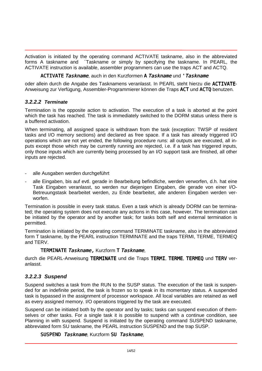<span id="page-13-0"></span>Activation is initiated by the operating command ACTIVATE taskname, also in the abbreviated forms A taskname and ´Taskname or simply by specifying the taskname. In PEARL, the ACTIVATE instruction is available, assembler programmers can use the traps ACT and ACTQ.

#### ACTIVATE Taskname, auch in den Kurzformen A Taskname und 'Taskname

oder allein durch die Angabe des Tasknamens veranlasst. In PEARL steht hierzu die ACTIVATE-Anweisung zur Verfügung, Assembler-Programmierer können die Traps ACT und ACTQ benutzen.

#### *3.2.2.2 Terminate*

Termination is the opposite action to activation. The execution of a task is aborted at the point which the task has reached. The task is immediately switched to the DORM status unless there is a buffered activation.

When terminating, all assigned space is withdrawn from the task (exception: TWSP of resident tasks and I/O memory sections) and declared as free space. If a task has already triggered I/O operations which are not yet ended, the following procedure runs: all outputs are executed, all inputs except those which may be currently running are rejected, i.e. if a task has triggered inputs, only those inputs which are currently being processed by an I/O support task are finished, all other inputs are rejected.

- alle Ausgaben werden durchgeführt
- alle Eingaben, bis auf evtl. gerade in Bearbeitung befindliche, werden verworfen, d.h. hat eine Task Eingaben veranlasst, so werden nur diejenigen Eingaben, die gerade von einer I/O-Betreuungstask bearbeitet werden, zu Ende bearbeitet, alle anderen Eingaben werden verworfen.

Termination is possible in every task status. Even a task which is already DORM can be terminated; the operating system does not execute any actions in this case, however. The termination can be initiated by the operator and by another task; for tasks both self and external termination is permitted.

Termination is initiated by the operating command TERMINATE taskname, also in the abbreviated form T taskname, by the PEARL instruction TERMINATE and the traps TERMI, TERME, TERMEQ and TERV.

#### TERMINATE Taskname, Kurzform T Taskname,

durch die PEARL-Anweisung TERMINATE und die Traps TERMI, TERME, TERMEQ und TERV veranlasst.

#### *3.2.2.3 Suspend*

Suspend switches a task from the RUN to the SUSP status. The execution of the task is suspended for an indefinite period, the task is frozen so to speak in its momentary status. A suspended task is bypassed in the assignment of processor workspace. All local variables are retained as well as every assigned memory. I/O operations triggered by the task are executed.

Suspend can be initiated both by the operator and by tasks; tasks can suspend execution of themselves or other tasks. For a single task it is possible to suspend with a continue condition, see Planning in with suspend. Suspend is initiated by the operating command SUSPEND taskname, abbreviated form SU taskname, the PEARL instruction SUSPEND and the trap SUSP.

#### SUSPEND Taskname, Kurzform SU Taskname,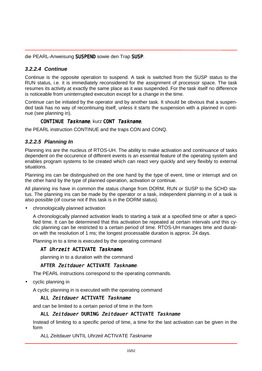<span id="page-14-0"></span>die PEARL-Anweisung SUSPEND sowie den Trap SUSP.

#### *3.2.2.4 Continue*

Continue is the opposite operation to suspend. A task is switched from the SUSP status to the RUN status, i.e. it is immediately reconsidered for the assignment of processor space. The task resumes its activity at exactly the same place as it was suspended. For the task itself no difference is noticeable from uninterrupted execution except for a change in the time.

Continue can be initiated by the operator and by another task. It should be obvious that a suspended task has no way of recontinuing itself, unless it starts the suspension with a planned in continue (see planning in).

#### CONTINUE Taskname, kurz CONT Taskname,

the PEARL instruction CONTINUE and the traps CON and CONQ.

#### *3.2.2.5 Planning In*

Planning ins are the nucleus of RTOS-UH. The ability to make activation and continuance of tasks dependent on the occurence of different events is an essential feature of the operating system and enables program systems to be created which can react very quickly and very flexibly to external situations.

Planning ins can be distinguished on the one hand by the type of event, time or interrupt and on the other hand by the type of planned operation, activation or continue.

All planning ins have in common the status change from DORM, RUN or SUSP to the SCHD status. The planning ins can be made by the operator or a task, independent planning in of a task is also possible (of course not if this task is in the DORM status).

• chronologically planned activation

A chronologically planned activation leads to starting a task at a specified time or after a specified time. It can be determined that this activation be repeated at certain intervals und this cyclic planning can be restricted to a certain period of time. RTOS-UH manages time and duration with the resolution of 1 ms; the longest processable duration is approx. 24 days.

Planning in to a time is executed by the operating command

#### AT Uhrzeit ACTIVATE Taskname.

planning in to a duration with the command

#### AFTER Zeitdauer ACTIVATE Taskname.

The PEARL instructions correspond to the operating commands.

• cyclic planning in

A cyclic planning in is executed with the operating command

#### ALL Zeitdauer ACTIVATE Taskname

and can be limited to a certain period of time in the form

#### ALL Zeitdauer DURING Zeitdauer ACTIVATE Taskname

Instead of limiting to a specific period of time, a time for the last activation can be given in the form

ALL *Zeitdauer* UNTIL *Uhrzeit* ACTIVATE *Taskname*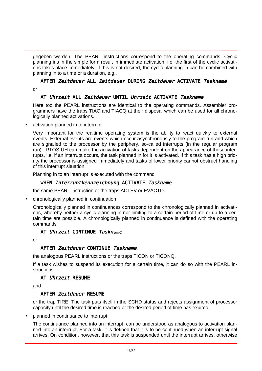gegeben werden. The PEARL instructions correspond to the operating commands. Cyclic planning ins in the simple form result in immediate activation, i.e. the first of the cyclic activations takes place immediately. If this is not desired, the cyclic planning in can be combined with planning in to a time or a duration, e.g..

## AFTER Zeitdauer ALL Zeitdauer DURING Zeitdauer ACTIVATE Taskname

or

#### AT Uhrzeit ALL Zeitdauer UNTIL Uhrzeit ACTIVATE Taskname

Here too the PEARL instructions are identical to the operating commands. Assembler programmers have the traps TIAC and TIACQ at their disposal which can be used for all chronologically planned activations.

activation planned in to interrupt

Very important for the realtime operating system is the ability to react quickly to external events. External events are events which occur asynchronously to the program run and which are signalled to the processor by the periphery, so-called interrupts (in the regular program run).. RTOS-UH can make the activation of tasks dependent on the appearance of these interrupts, i.e. if an interrupt occurs, the task planned in for it is activated. If this task has a high priority the processor is assigned immediately and tasks of lower priority cannot obstruct handling of this interrupt situation.

Planning in to an interrupt is executed with the command

#### WHEN Interruptkennzeichnung ACTIVATE Taskname,

the same PEARL instruction or the traps ACTEV or EVACTQ..

• chronologically planned in continuation

Chronologically planned in continuances correspond to the chronologically planned in activations, whereby neither a cyclic planning in nor limiting to a certain period of time or up to a certain time are possible. A chronologically planned in continuance is defined with the operating commands

#### AT Uhrzeit CONTINUE Taskname

or

#### AFTER Zeitdauer CONTINUE Taskname,

the analogous PEARL instructions or the traps TICON or TICONQ.

If a task wishes to suspend its execution for a certain time, it can do so with the PEARL instructions

#### AT Uhrzeit RESUME

and

#### AFTER Zeitdauer RESUME

or the trap TIRE. The task puts itself in the SCHD status and rejects assignment of processor capacity until the desired time is reached or the desired period of time has expired.

• planned in continuance to interrupt

The continuance planned into an interrupt can be understood as analogous to activation planned into an interrupt. For a task, it is defined that it is to be continued when an interrupt signal arrives. On condition, however, that this task is suspended until the interrupt arrives, otherwise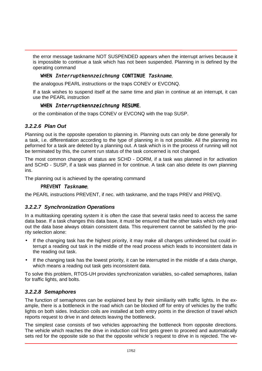<span id="page-16-0"></span>the error message taskname NOT SUSPENDED appears when the interrupt arrives because it is impossible to continue a task which has not been suspended. Planning in is defined by the operating command

#### WHEN Interruptkennzeichnung CONTINUE Taskname,

the analogous PEARL instructions or the traps CONEV or EVCONQ.

If a task wishes to suspend itself at the same time and plan in continue at an interrupt, it can use the PEARL instruction

#### WHEN Interruptkennzeichnung RESUME,

or the combination of the traps CONEV or EVCONQ with the trap SUSP.

#### *3.2.2.6 Plan Out*

Planning out is the opposite operation to planning in. Planning outs can only be done generally for a task, i.e. differentiation according to the type of planning in is not possible. All the planning ins peformed for a task are deleted by a planning out. A task which is in the process of running will not be terminated by this, the current run status of the task concerned is not changed.

The most common changes of status are SCHD - DORM, if a task was planned in for activation and SCHD - SUSP, if a task was planned in for continue. A task can also delete its own planning ins.

The planning out is achieved by the operating command

#### PREVENT Taskname,

the PEARL instructions PREVENT, if nec. with taskname, and the traps PREV and PREVQ.

#### *3.2.2.7 Synchronization Operations*

In a multitasking operating system it is often the case that several tasks need to access the same data base. If a task changes this data base, it must be ensured that the other tasks which only read out the data base always obtain consistent data. This requirement cannot be satisfied by the priority selection alone:

- If the changing task has the highest priority, it may make all changes unhindered but could interrupt a reading out task in the middle of the read process which leads to inconsistent data in the reading out task.
- If the changing task has the lowest priority, it can be interrupted in the middle of a data change, which means a reading out task gets inconsistent data.

To solve this problem, RTOS-UH provides synchronization variables, so-called semaphores, italian for traffic lights, and bolts.

#### *3.2.2.8 Semaphores*

The function of semaphores can be explained best by their similiarity with traffic lights. In the example, there is a bottleneck in the road which can be blocked off for entry of vehicles by the traffic lights on both sides. Induction coils are installed at both entry points in the direction of travel which reports request to drive in and detects leaving the bottleneck.

The simplest case consists of two vehicles approaching the bottleneck from opposite directions. The vehicle which reaches the drive in induction coil first gets green to proceed and automatically sets red for the opposite side so that the opposite vehicle's request to drive in is rejected. The ve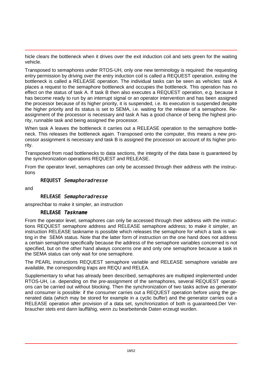hicle clears the bottleneck when it drives over the exit induction coil and sets green for the waiting vehicle.

Transposed to semaphores under RTOS-UH, only one new terminology is required: the requesting entry permission by driving over the entry induction coil is called a REQUEST operation, exiting the bottleneck is called a RELEASE operation. The individual tasks can be seen as vehicles: task A places a request to the semaphore bottleneck and occupies the bottleneck. This operation has no effect on the status of task A. If task B then also executes a REQUEST operation, e.g. because it has become ready to run by an interrupt signal or an operator intervention and has been assigned the processor because of its higher priority, it is suspended, i.e. its execution is suspended despite the higher priority and its status is set to SEMA, i.e. waiting for the release of a semaphore. Reassignment of the processor is necessary and task A has a good chance of being the highest priority, runnable task and being assigned the processor.

When task A leaves the bottleneck it carries out a RELEASE operation to the semaphore bottleneck. This releases the bottleneck again. Transposed onto the computer, this means a new processor assignment is necessary and task B is assigned the processor on account of its higher priority.

Transposed from road bottlenecks to data sections, the integrity of the data base is guaranteed by the synchronization operations REQUEST and RELEASE.

From the operator level, semaphores can only be accessed through their address with the instructions

#### REQUEST Semaphoradresse

and

#### RELEASE Semaphoradresse

ansprechbar to make it simpler, an instruction

#### RELEASE Taskname

From the operator level, semaphores can only be accessed through their address with the instructions REQUEST semaphore address and RELEASE semaphore address; to make it simpler, an instruction RELEASE taskname is possible which releases the semaphore for which a task is waiting in the SEMA status. Note that the latter form of instruction on the one hand does not address a certain semaphore specifically because the address of the semaphore variables concerned is not specified, but on the other hand always concerns one and only one semaphore because a task in the SEMA status can only wait for one semaphore.

The PEARL instructions REQUEST semaphore variable and RELEASE semaphore variable are available, the corresponding traps are REQU and RELEA.

Supplementary to what has already been described, semaphores are multipied implemented under RTOS-UH, i.e. depending on the pre-assignment of the semaphores, several REQUEST operations can be carried out without blocking. Then the synchronization of two tasks active as generator and consumer is possible: if the consumer carries out a REQUEST operation before using the generated data (which may be stored for example in a cyclic buffer) and the generator carries out a RELEASE operation after provision of a data set, synchronization of both is guaranteed.Der Verbraucher stets erst dann lauffähig, wenn zu bearbeitende Daten erzeugt wurden.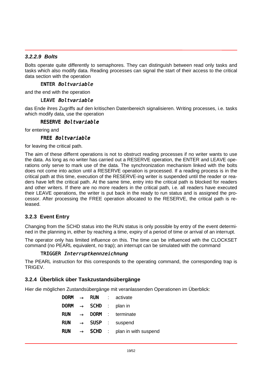#### <span id="page-18-0"></span>*3.2.2.9 Bolts*

Bolts operate quite differently to semaphores. They can distinguish between read only tasks and tasks which also modify data. Reading processes can signal the start of their access to the critical data section with the operation

#### ENTER Boltvariable

and the end with the operation

#### LEAVE Boltvariable

das Ende ihres Zugriffs auf den kritischen Datenbereich signalisieren. Writing processes, i.e. tasks which modify data, use the operation

#### RESERVE Boltvariable

for entering and

#### FRFF Boltvariable

for leaving the critical path.

The aim of these differnt operations is not to obstruct reading processes if no writer wants to use the data. As long as no writer has carried out a RESERVE operation, the ENTER and LEAVE operations only serve to mark use of the data. The synchronization mechanism linked with the bolts does not come into action until a RESERVE operation is processed. If a reading process is in the critical path at this time, execution of the RESERVE-ing writer is suspended until the reader or readers have left the critical path. At the same time, entry into the critical path is blocked for readers and other writers. If there are no more readers in the critical path, i.e. all readers have executed their LEAVE operations, the writer is put back in the ready to run status and is assigned the processor. After processing the FREE operation allocated to the RESERVE, the critical path is released.

#### **3.2.3 Event Entry**

Changing from the SCHD status into the RUN status is only possible by entry of the event determined in the planning in, either by reaching a time, expiry of a period of time or arrival of an interrupt.

The operator only has limited influence on this. The time can be influenced with the CLOCKSET command (no PEARL equivalent, no trap); an interrupt can be simulated with the command

#### TRIGGER Interruptkennzeichnung

The PEARL instruction for this corresponds to the operating command, the corresponding trap is TRIGEV.

#### **3.2.4 Überblick über Taskzustandsübergänge**

Hier die möglichen Zustandsübergänge mit veranlassenden Operationen im Überblick:

|            |  | <b>DORM</b> $\rightarrow$ <b>RUN</b> : activate             |
|------------|--|-------------------------------------------------------------|
|            |  | DORM $\rightarrow$ SCHD : plan in                           |
|            |  | $RUN \rightarrow DORM$ : terminate                          |
| <b>RUN</b> |  | $\rightarrow$ SUSP : suspend                                |
|            |  | <b>RUN</b> $\rightarrow$ <b>SCHD</b> : plan in with suspend |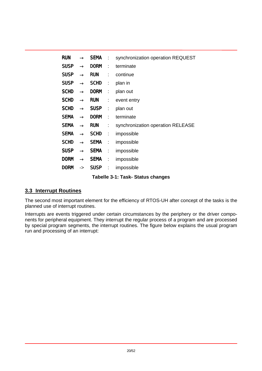<span id="page-19-0"></span>

| <b>RUN</b>  | $\rightarrow$ | SEMA :      |                           | synchronization operation REQUEST |
|-------------|---------------|-------------|---------------------------|-----------------------------------|
| <b>SUSP</b> | $\rightarrow$ | <b>DORM</b> | ÷                         | terminate                         |
| <b>SUSP</b> | $\rightarrow$ | <b>RUN</b>  | $\mathbb{Z}^{\mathbb{Z}}$ | continue                          |
| <b>SUSP</b> | $\rightarrow$ | <b>SCHD</b> | $\mathbb{Z}^n$ .          | plan in                           |
| <b>SCHD</b> | $\rightarrow$ | <b>DORM</b> | ÷                         | plan out                          |
| <b>SCHD</b> | $\rightarrow$ | <b>RUN</b>  | ÷                         | event entry                       |
| <b>SCHD</b> | $\rightarrow$ | <b>SUSP</b> | $\mathbb{Z}^+$            | plan out                          |
| <b>SEMA</b> | $\rightarrow$ | <b>DORM</b> | ÷                         | terminate                         |
| <b>SEMA</b> | $\rightarrow$ | <b>RUN</b>  | $\mathbb{Z}^n$ .          | synchronization operation RELEASE |
| <b>SEMA</b> | $\rightarrow$ | <b>SCHD</b> | $\mathbb{Z}^n$ .          | impossible                        |
| <b>SCHD</b> | $\rightarrow$ | <b>SEMA</b> | ÷                         | impossible                        |
| <b>SUSP</b> | $\rightarrow$ | <b>SEMA</b> | ÷                         | impossible                        |
| <b>DORM</b> | $\rightarrow$ | <b>SEMA</b> | $\mathbb{C}^2$            | impossible                        |
| <b>DORM</b> | ->            | <b>SUSP</b> | ÷                         | impossible                        |

#### **Tabelle 3-1: Task- Status changes**

#### **3.3 Interrupt Routines**

The second most important element for the efficiency of RTOS-UH after concept of the tasks is the planned use of interrupt routines.

Interrupts are events triggered under certain circumstances by the periphery or the driver components for peripheral equipment. They interrupt the regular process of a program and are processed by special program segments, the interrupt routines. The figure below explains the usual program run and processing of an interrupt: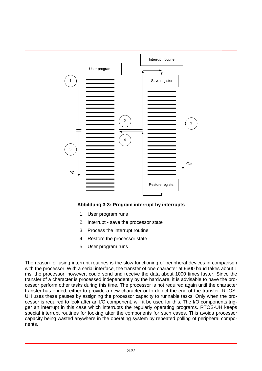<span id="page-20-0"></span>

#### **Abbildung 3-3: Program interrupt by interrupts**

- 1. User program runs
- 2. Interrupt save the processor state
- 3. Process the interrupt routine
- 4. Restore the processor state
- 5. User program runs

The reason for using interrupt routines is the slow functioning of peripheral devices in comparison with the processor. With a serial interface, the transfer of one character at 9600 baud takes about 1 ms, the processor, however, could send and receive the data about 1000 times faster. Since the transfer of a character is processed independently by the hardware, it is advisable to have the processor perform other tasks during this time. The processor is not required again until the character transfer has ended, either to provide a new character or to detect the end of the transfer. RTOS-UH uses these pauses by assigning the processor capacity to runnable tasks. Only when the processor is required to look after an I/O component, will it be used for this. The I/O components trigger an interrupt in this case which interrupts the regularly operating programs. RTOS-UH keeps special interrupt routines for looking after the components for such cases. This avoids processor capacity being wasted anywhere in the operating system by repeated polling of peripheral components.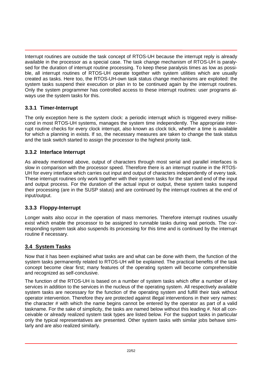<span id="page-21-0"></span>Interrupt routines are outside the task concept of RTOS-UH because the interrupt reply is already available in the processor as a special case. The task change mechanism of RTOS-UH is paralysed for the duration of interrupt routine processing. To keep these paralysis times as low as possible, all interrupt routines of RTOS-UH operate together with system utilities which are usually created as tasks. Here too, the RTOS-UH-own task status change mechanisms are exploited: the system tasks suspend their execution or plan in to be continued again by the interrupt routines. Only the system programmer has controlled access to these interrupt routines: user programs always use the system tasks for this.

#### **3.3.1 Timer-Interrupt**

The only exception here is the system clock: a periodic interrupt which is triggered every millisecond in most RTOS-UH systems, manages the system time independently. The appropriate interrupt routine checks for every clock interrupt, also known as clock tick, whether a time is available for which a planning in exists. If so, the necessary measures are taken to change the task status and the task switch started to assign the processor to the highest priority task.

#### **3.3.2 Interface Interrupt**

As already mentioned above, output of characters through most serial and parallel interfaces is slow in comparison with the processor speed. Therefore there is an interrupt routine in the RTOS-UH for every interface which carries out input and output of characters independently of every task. These interrupt routines only work together with their system tasks for the start and end of the input and output process. For the duration of the actual input or output, these system tasks suspend their processing (are in the SUSP status) and are continued by the interrupt routines at the end of input/output.

#### **3.3.3 Floppy-Interrupt**

Longer waits also occur in the operation of mass memories. Therefore interrupt routines usually exist which enable the processor to be assigned to runnable tasks during wait periods. The corresponding system task also suspends its processing for this time and is continued by the interrupt routine if necessary.

#### **3.4 System Tasks**

Now that it has been explained what tasks are and what can be done with them, the function of the system tasks permanently related to RTOS-UH will be explained. The practical benefits of the task concept become clear first; many features of the operating system will become comprehensible and recognized as self-conclusive.

The function of the RTOS-UH is based on a number of system tasks which offer a number of key services in addition to the services in the nucleus of the operating system. All respectively available system tasks are necessary for the function of the operating system and fulfill their task without operator intervention. Therefore they are protected against illegal interventions in their very names: the character # with which the name begins cannot be entered by the operator as part of a valid taskname. For the sake of simplicity, the tasks are named below without this leading #. Not all conceivable or already realized system task types are listed below. For the support tasks in particular only the typical representatives are presented. Other system tasks with similar jobs behave similarly and are also realized similarly.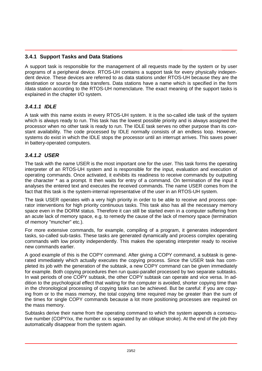#### <span id="page-22-0"></span>**3.4.1 Support Tasks and Data Stations**

A support task is responsible for the management of all requests made by the system or by user programs of a peripheral device. RTOS-UH contains a support task for every physically independent device. These devices are referred to as data stations under RTOS-UH because they are the destination or source for data transfers. Data stations have a name which is specified in the form /data station according to the RTOS-UH nomenclature. The exact meaning of the support tasks is explained in the chapter I/O system.

#### *3.4.1.1 IDLE*

A task with this name exists in every RTOS-UH system. It is the so-called idle task of the system which is always ready to run. This task has the lowest possible priority and is always assigned the processor when no other task is ready to run. The IDLE task serves no other purpose than its constant availability. The code processed by IDLE normally consists of an endless loop. However, systems do exist in which the IDLE stops the processor until an interrupt arrives. This saves power in battery-operated computers.

#### *3.4.1.2 USER*

The task with the name USER is the most important one for the user. This task forms the operating interpreter of an RTOS-UH system and is responsible for the input, evaluation and execution of operating commands. Once activated, it exhibits its readiness to receive commands by outputting the character \* as a prompt. It then waits for entry of a command. On termination of the input it analyses the entered text and executes the received commands. The name USER comes from the fact that this task is the system-internal representative of the user in an RTOS-UH system.

The task USER operates with a very high priority in order to be able to receive and process operator interventions for high priority continuous tasks. This task also has all the necessary memory space even in the DORM status. Therefore it can still be started even in a computer suffering from an acute lack of memory space, e.g. to remedy the cause of the lack of memory space (termination of memory "muncher" etc.).

For more extensive commands, for example, compiling of a program, it generates independent tasks, so-called sub-tasks. These tasks are generated dynamically and process complex operating commands with low priority independently. This makes the operating interpreter ready to receive new commands earlier.

A good example of this is the COPY command. After giving a COPY command, a subtask is generated immediately which actually executes the copying process. Since the USER task has completed its job with the generation of the subtask, a new COPY command can be given immediately for example. Both copying procedures then run quasi-parallel processed by two separate subtasks. In wait periods of one COPY subtask, the other COPY subtask can operate and vice versa. In addition to the psychological effect that waiting for the computer is avoided, shorter copying time than in the chronological processing of copying tasks can be achieved. But be careful: if you are copying from or to the mass memory, the total copying time required may be greater than the sum of the times for single COPY commands because a lot more positioning processes are required on the mass memory.

Subtasks derive their name from the operating command to which the system appends a consecutive number (COPY/xx, the number xx is separated by an oblique stroke). At the end of the job they automatically disappear from the system again.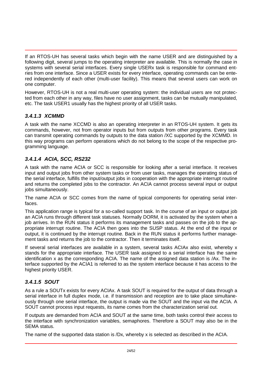<span id="page-23-0"></span>If an RTOS-UH has several tasks which begin with the name USER and are distinguished by a following digit, several jumps to the operating interpreter are available. This is normally the case in systems with several serial interfaces. Every single USERx task is responsible for command entries from one interface. Since a USER exists for every interface, operating commands can be entered independently of each other (multi-user facility). This means that several users can work on one computer.

However, RTOS-UH is not a real multi-user operating system: the individual users are not protected from each other in any way, files have no user assignment, tasks can be mutually manipulated, etc. The task USER1 usually has the highest priority of all USER tasks.

#### *3.4.1.3 XCMMD*

A task with the name XCCMD is also an operating interpreter in an RTOS-UH system. It gets its commands, however, not from operator inputs but from outputs from other programs. Every task can transmit operating commands by outputs to the data station /XC supported by the XCMMD. In this way programs can perform operations which do not belong to the scope of the respective programming language.

#### *3.4.1.4 ACIA, SCC, RS232*

A task with the name ACIA or SCC is responsible for looking after a serial interface. It receives input and output jobs from other system tasks or from user tasks, manages the operating status of the serial interface, fulfills the input/output jobs in cooperation with the appropriate interrupt routine and returns the completed jobs to the contractor. An ACIA cannot process several input or output jobs simultaneously.

The name ACIA or SCC comes from the name of typical components for operating serial interfaces.

This application range is typical for a so-called support task. In the course of an input or output job an ACIA runs through different task statuses. Normally DORM, it is activated by the system when a job arrives. In the RUN status it performs its management tasks and passes on the job to the appropriate interrupt routine. The ACIA then goes into the SUSP status. At the end of the input or output, it is continued by the interrupt routine. Back in the RUN status it performs further management tasks and returns the job to the contractor. Then it terminates itself.

If several serial interfaces are available in a system, several tasks ACIAx also exist, whereby x stands for the appropriate interface. The USER task assigned to a serial interface has the same identification x as the corresponding ACIA. The name of the assigned data station is /Ax. The interface supported by the ACIA1 is referred to as the system interface because it has access to the highest priority USER.

#### *3.4.1.5 SOUT*

As a rule a SOUTx exists for every ACIAx. A task SOUT is required for the output of data through a serial interface in full duplex mode, i.e. if transmission and reception are to take place simultaneously through one serial interface, the output is made via the SOUT and the input via the ACIA. A SOUT cannot process input requests, its name comes from the characterization serial out.

If outputs are demanded from ACIA and SOUT at the same time, both tasks control their access to the interface with synchronization variables, semaphores. Therefore a SOUT may also be in the SEMA status.

The name of the supported data station is /Dx, whereby x is selected as described in the ACIA.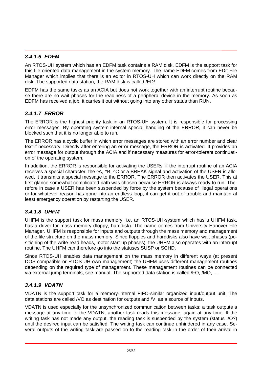#### <span id="page-24-0"></span>*3.4.1.6 EDFM*

An RTOS-UH system which has an EDFM task contains a RAM disk. EDFM is the support task for this file-oriented data management in the system memory. The name EDFM comes from EDit File Manager which implies that there is an editor in RTOS-UH which can work directly on the RAM disk. The supported data station, the RAM disk is called /ED/.

EDFM has the same tasks as an ACIA but does not work together with an interrupt routine because there are no wait phases for the readiness of a peripheral device in the memory. As soon as EDFM has received a job, it carries it out without going into any other status than RUN.

#### *3.4.1.7 ERROR*

The ERROR is the highest priority task in an RTOS-UH system. It is responsible for processing error messages. By operating system-internal special handling of the ERROR, it can never be blocked such that it is no longer able to run.

The ERROR has a cyclic buffer in which error messages are stored with an error number and clear text if necessary. Directly after entering an error message, the ERROR is activated. It provides an error message for output through the ACIA and if necessary measures for error-tolerant continuation of the operating system.

In addition, the ERROR is responsible for activating the USERs: if the interrupt routine of an ACIA receives a special character, the ^A, ^B, ^C or a BREAK signal and activation of the USER is allowed, it transmits a special message to the ERROR. The ERROR then activates the USER. This at first glance somewhat complicated path was chosen because ERROR is always ready to run. Therefore in case a USER has been suspended by force by the system because of illegal operations or for whatever reason has gone into an endless loop, it can get it out of trouble and maintain at least emergency operation by restarting the USER.

#### *3.4.1.8 UHFM*

UHFM is the support task for mass memory, i.e. an RTOS-UH-system which has a UHFM task, has a driver for mass memory (floppy, harddisk). The name comes from University Hanover File Manager. UHFM is responsible for inputs and outputs through the mass memory and management of the file structure on the mass memory. Since floppies and harddisks also have wait phases (positioning of the write-read heads, motor start-up phases), the UHFM also operates with an interrupt routine. The UHFM can therefore go into the statuses SUSP or SCHD.

Since RTOS-UH enables data management on the mass memory in different ways (at present DOS-compatible or RTOS-UH-own management) the UHFM uses different management routines depending on the required type of management. These management routines can be connected via external jump terminals, see manual. The supported data station is called /FO, /MO, ....

#### *3.4.1.9 VDATN*

VDATN is the support task for a memory-internal FIFO-similar organized input/output unit. The data stations are called /VO as destination for outputs and /VI as a source of inputs.

VDATN is used especially for the unsynchronized communication between tasks: a task outputs a message at any time to the VDATN, another task reads this message, again at any time. If the writing task has not made any output, the reading task is suspended by the system (status I/O?) until the desired input can be satisfied. The writing task can continue unhindered in any case. Several outputs of the writing task are passed on to the reading task in the order of their arrival in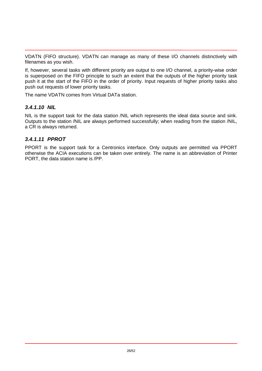<span id="page-25-0"></span>VDATN (FIFO structure). VDATN can manage as many of these I/O channels distinctively with filenames as you wish.

If, however, several tasks with different priority are output to one I/O channel, a priority-wise order is superposed on the FIFO principle to such an extent that the outputs of the higher priority task push it at the start of the FIFO in the order of priority. Input requests of higher priority tasks also push out requests of lower priority tasks.

The name VDATN comes from Virtual DATa station.

#### *3.4.1.10 NIL*

NIL is the support task for the data station /NIL which represents the ideal data source and sink. Outputs to the station /NIL are always performed successfully; when reading from the station /NIL, a CR is always returned.

#### *3.4.1.11 PPROT*

PPORT is the support task for a Centronics interface. Only outputs are permitted via PPORT otherwise the ACIA executions can be taken over entirely. The name is an abbreviation of Printer PORT, the data station name is /PP.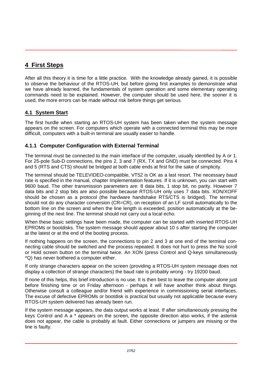## <span id="page-26-0"></span>**4 First Steps**

After all this theory it is time for a little practice. With the knowledge already gained, it is possible to observe the behaviour of the RTOS-UH, but before giving first examples to demonstrate what we have already learned, the fundamentals of system operation and some elementary operating commands need to be explained. However, the computer should be used here, the sooner it is used, the more errors can be made without risk before things get serious.

#### **4.1 System Start**

The first hurdle when starting an RTOS-UH system has been taken when the system message appears on the screen. For computers which operate with a connected terminal this may be more difficult, computers with a built-in terminal are usually easier to handle.

#### **4.1.1 Computer Configuration with External Terminal**

The terminal must be connected to the main interface of the computer, usually identified by A or 1. For 25-pole Sub-D connections, the pins 2, 3 and 7 (RX, TX and GND) must be connected. Pins 4 and 5 (RTS and CTS) should be bridged at both cable ends at first for the sake of simplicity.

The terminal should be TELEVIDEO-compatible, VT52 is OK as a last resort. The necessary baud rate is specified in the manual, chapter Implementation features. If it is unknown, you can start with 9600 baud. The other transmission parameters are: 8 data bits, 1 stop bit, no parity. However 7 data bits and 2 stop bits are also possible because RTOS-UH only uses 7 data bits. XON/XOFF should be chosen as a protocol (the hardware handshake RTS/CTS is bridged). The terminal should not do any character conversion (CR=CR), on reception of an LF scroll automatically to the bottom line on the screen and when the line length is exceeded, position automatically at the beginning of the next line. The terminal should not carry out a local echo.

When these basic settings have been made, the computer can be started with inserted RTOS-UH EPROMs or bootdisks. The system message should appear about 10 s after starting the computer at the latest or at the end of the booting process.

If nothing happens on the screen, the connections to pin 2 and 3 at one end of the terminal connecting cable should be switched and the process repeated. It does not hurt to press the No scroll or Hold screen button on the terminal twice. An XON (press Control and Q-keys simultaneously ^Q) has never bothered a computer either.

If only strange characters appear on the screen (providing a RTOS-UH system message does not display a collection of strange characters) the baud rate is probably wrong - try 19200 baud.

If none of this helps, this brief introduction is no use. It is then best to leave the computer alone just before finishing time or on Friday afternoon - perhaps it will have another think about things. Otherwise consult a colleague and/or friend with experience in commissioning serial interfaces. The excuse of defective EPROMs or bootdisk is practical but usually not applicable because every RTOS-UH system delivered has already been run.

If the system message appears, the data output works at least. If after simultaneously pressing the keys Control and A a \* appears on the screen, the opposite direction also works, if the asterisk does not appear, the cable is probably at fault. Either connections or jumpers are missing or the line is faulty.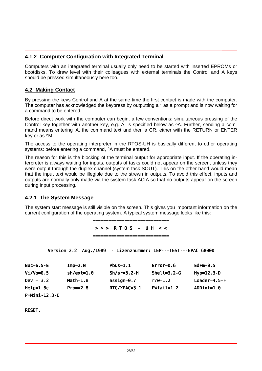#### <span id="page-27-0"></span>**4.1.2 Computer Configuration with Integrated Terminal**

Computers with an integrated terminal usually only need to be started with inserted EPROMs or bootdisks. To draw level with their colleagues with external terminals the Control and A keys should be pressed simultaneously here too.

#### **4.2 Making Contact**

By pressing the keys Control and A at the same time the first contact is made with the computer. The computer has acknowledged the keypress by outputting a \* as a prompt and is now waiting for a command to be entered.

Before direct work with the computer can begin, a few conventions: simultaneous pressing of the Control key together with another key, e.g. A, is specified below as ^A. Further, sending a command means entering 'A, the command text and then a CR, either with the RETURN or ENTER key or as ^M.

The access to the operating interpreter in the RTOS-UH is basically different to other operating systems: before entering a command,  $\Delta A$  must be entered.

The reason for this is the blocking of the terminal output for appropriate input. If the operating interpreter is always waiting for inputs, outputs of tasks could not appear on the screen, unless they were output through the duplex channel (system task SOUT). This on the other hand would mean that the input text would be illegible due to the strewn in outputs. To avoid this effect, inputs and outputs are normally only made via the system task ACIA so that no outputs appear on the screen during input processing.

#### **4.2.1 The System Message**

The system start message is still visible on the screen. This gives you important information on the current configuration of the operating system. A typical system message looks like this:

> ============================= > > > R T O S - U H < < =============================

Version 2.2 Aug./1989 - Lizenznummer: IEP---TEST---EPAC 68000

| Nuc=6. $5-E$  | l mp=2. N    | Pbus= $1.1$   | Error= $0.6$       | EdFm= $0.5$     |
|---------------|--------------|---------------|--------------------|-----------------|
| Vi /Vo=0. $5$ | $sh/ext=1.0$ | $Sh/sr=3.2-H$ | Shel $I = 3.2 - G$ | $Hyp=12.3-D$    |
| $Dev = 3.2$   | $Math=1. B$  | assign=0.7    | $r/w=1.2$          | Loader=4.5- $F$ |
| Hel $p=1.6c$  | $Prom=2.8$   | RTC/XPAC=3.1  | PWfai $I = 1.2$    | ADDi $nt=1.0$   |
|               |              |               |                    |                 |

P=Mini-12.3-E

**RESET.**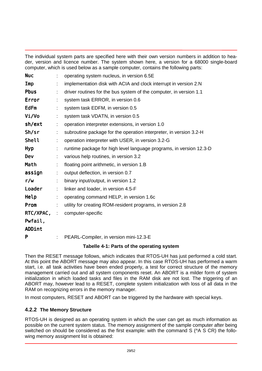<span id="page-28-0"></span>The individual system parts are specified here with their own version numbers in addition to header, version and licence number. The system shown here, a version for a 68000 single-board computer, which is used below as a sample computer, contains the following parts:

| <b>Nuc</b>  |    | operating system nucleus, in version 6.5E                           |
|-------------|----|---------------------------------------------------------------------|
| Imp         |    | implementation disk with ACIA and clock interrupt in version 2.N    |
| <b>Pbus</b> |    | driver routines for the bus system of the computer, in version 1.1  |
| Error       |    | system task ERROR, in version 0.6                                   |
| <b>EdFm</b> |    | system task EDFM, in version 0.5                                    |
| Vi /Vo      |    | system task VDATN, in version 0.5                                   |
| sh/ext      | ÷. | operation interpreter extensions, in version 1.0                    |
| Sh/sr       | ÷. | subroutine package for the operation interpreter, in version 3.2-H  |
| Shel I      |    | operation interpreter with USER, in version 3.2-G                   |
| Hyp         |    | runtime package for high level language programs, in version 12.3-D |
| Dev         |    | various help routines, in version 3.2                               |
| Math        |    | floating point arithmetic, in version 1.B                           |
| assi gn     | ÷. | output deflection, in version 0.7                                   |
| r/w         |    | binary input/output, in version 1.2                                 |
| Loader      | ÷. | linker and loader, in version 4.5-F                                 |
| Hel p       |    | operating command HELP, in version 1.6c                             |
| Prom        |    | utility for creating ROM-resident programs, in version 2.8          |
| RTC/XPAC,   | ÷. | computer-specific                                                   |
| Pwfail,     |    |                                                                     |
| ADDint      |    |                                                                     |
| P           |    | PEARL-Compiler, in version mini-12.3-E                              |

#### **Tabelle 4-1: Parts of the operating system**

Then the RESET message follows, which indicates that RTOS-UH has just performed a cold start. At this point the ABORT message may also appear. In this case RTOS-UH has performed a warm start, i.e. all task activities have been ended properly, a test for correct structure of the memory management carried out and all system components reset. An ABORT is a milder form of system initialization in which loaded tasks and files in the RAM disk are not lost. The triggering of an ABORT may, however lead to a RESET, complete system initialization with loss of all data in the RAM on recognizing errors in the memory manager.

In most computers, RESET and ABORT can be triggered by the hardware with special keys.

#### **4.2.2 The Memory Structure**

RTOS-UH is designed as an operating system in which the user can get as much information as possible on the current system status. The memory assignment of the sample computer after being switched on should be considered as the first example: with the command S ( $\triangle$  S CR) the following memory assignment list is obtained: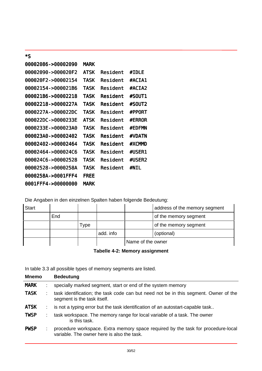<span id="page-29-0"></span>

| *S                 |             |           |               |
|--------------------|-------------|-----------|---------------|
| 00002086->00002090 | <b>MARK</b> |           |               |
| 00002090->000020F2 | <b>ATSK</b> | Resi dent | #I DI F       |
| 000020F2->00002154 | TASK        | Resi dent | #ACI A1       |
| 00002154->000021B6 | TASK        | Resi dent | #ACI A2       |
| 000021B6->00002218 | TASK        | Resi dent | #SOUT1        |
| 00002218->0000227A | TASK        | Resi dent | #SOUT2        |
| 0000227A->000022DC | <b>TASK</b> | Resi dent | #PPORT        |
| 000022DC->0000233E | ATSK        | Resi dent | <b>#FRROR</b> |
| 0000233E->000023A0 | TASK        | Resi dent | <b>#FDFMN</b> |
| 000023A0->00002402 | TASK        | Resi dent | <b>#VDATN</b> |
| 00002402->00002464 | TASK        | Resi dent | #XCMMD        |
| 00002464->000024C6 | TASK        | Resi dent | #USER1        |
| 000024C6->00002528 | TASK        | Resi dent | #USER2        |
| 00002528->0000258A | TASK        | Resi dent | #NI L         |
| 0000258A->0001FFF4 | <b>FREE</b> |           |               |
| 0001FFF4->00000000 | <b>MARK</b> |           |               |

Die Angaben in den einzelnen Spalten haben folgende Bedeutung:

| Start |     |      |           |                   | address of the memory segment |
|-------|-----|------|-----------|-------------------|-------------------------------|
|       | End |      |           |                   | of the memory segment         |
|       |     | Type |           |                   | of the memory segment         |
|       |     |      | add. info |                   | (optional)                    |
|       |     |      |           | Name of the owner |                               |

In table 3.3 all possible types of memory segments are listed.

| <b>Mnemo</b> | <b>Bedeutung</b>                                                                                                               |
|--------------|--------------------------------------------------------------------------------------------------------------------------------|
| <b>MARK</b>  | specially marked segment, start or end of the system memory                                                                    |
| <b>TASK</b>  | task identification; the task code can but need not be in this segment. Owner of the<br>segment is the task itself.            |
| <b>ATSK</b>  | is not a typing error but the task identification of an autostart-capable task                                                 |
| <b>TWSP</b>  | task workspace. The memory range for local variable of a task. The owner<br>is this task.                                      |
| <b>PWSP</b>  | procedure workspace. Extra memory space required by the task for procedure-local<br>variable. The owner here is also the task. |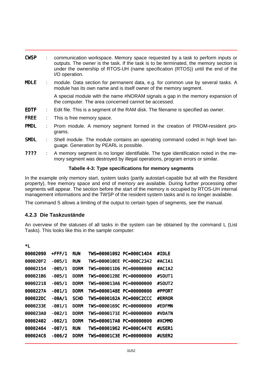<span id="page-30-0"></span>

| <b>CWSP</b> |                           | communication workspace. Memory space requested by a task to perform inputs or<br>outputs. The owner is the task. If the task is to be terminated, the memory section is<br>under the ownership of RTOS-UH (name specification (RTOS)) until the end of the<br>I/O operation. |
|-------------|---------------------------|-------------------------------------------------------------------------------------------------------------------------------------------------------------------------------------------------------------------------------------------------------------------------------|
| <b>MDLE</b> |                           | module. Data section for permanent data, e.g. for common use by several tasks. A<br>module has its own name and is itself owner of the memory segment.                                                                                                                        |
|             |                           | A special module with the name #NORAM signals a gap in the memory expansion of<br>the computer. The area concerned cannot be accessed.                                                                                                                                        |
| <b>EDTF</b> | $\mathbb{Z}^{\mathbb{Z}}$ | Edit file. This is a segment of the RAM disk. The filename is specified as owner.                                                                                                                                                                                             |
| <b>FREE</b> | t.                        | This is free memory space.                                                                                                                                                                                                                                                    |
| <b>PMDL</b> |                           | Prom module. A memory segment formed in the creation of PROM-resident pro-<br>grams.                                                                                                                                                                                          |
| <b>SMDL</b> |                           | Shell module. The module contains an operating command coded in high level lan-<br>guage. Generation by PEARL is possible.                                                                                                                                                    |

???? : A memory segment is no longer identifiable. The type identification noted in the memory segment was destroyed by illegal operations, program errors or similar.

#### **Tabelle 4-3: Type specifications for memory segments**

In the example only memory start, system tasks (partly autostart-capable but all with the Resident property), free memory space and end of memory are available. During further processing other segments will appear. The section before the start of the memory is occupied by RTOS-UH internal management informations and the TWSP of the resident system tasks and is no longer available.

The command S allows a limiting of the output to certain types of segments, see the manual.

#### **4.2.3 Die Taskzustände**

\*L

An overview of the statuses of all tasks in the system can be obtained by the command L (List Tasks). This looks like this in the sample computer:

| 00002090 | +FFF/1 | <b>RUN</b>  | TWS=00001092 PC=000C14D4 | #I DI F       |
|----------|--------|-------------|--------------------------|---------------|
| 000020F2 | -005/1 | <b>RUN</b>  | TWS=000010EE PC=000C2342 | #ACI A1       |
| 00002154 | -005/1 | <b>DORM</b> | TWS=000011D6 PC=00000000 | #ACI A2       |
| 000021B6 | -005/1 | <b>DORM</b> | TWS=000012BE PC=00000000 | #SOUT1        |
| 00002218 | -005/1 | <b>DORM</b> | TWS=000013A6 PC=00000000 | #SOUT2        |
| 0000227A | -001/1 | <b>DORM</b> | TWS=0000148E PC=00000000 | #PPORT        |
| 000022DC | -00A/1 | <b>SCHD</b> | TWS=0000162A PC=000C2CCC | <b>#FRROR</b> |
| 0000233E | -001/1 | <b>DORM</b> | TWS=0000169C PC=00000000 | <b>#FDFMN</b> |
| 000023A0 | -002/1 | <b>DORM</b> | TWS=0000171F PC=00000000 | <b>#VDATN</b> |
| 00002402 | -002/1 | <b>DORM</b> | TWS=000017A0 PC=00000000 | #XCMMD        |
| 00002464 | -007/1 | <b>RUN</b>  | TWS=00001962 PC=000C447E | #USER1        |
| 000024C6 | -006/2 | <b>DORM</b> | TWS=00001C3E PC=00000000 | #USER2        |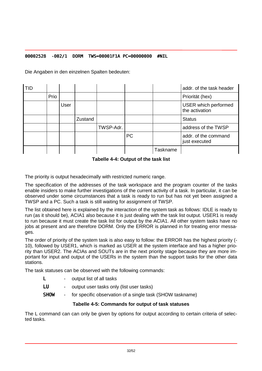#### <span id="page-31-0"></span>00002528 -002/1 DORM TWS=00001F1A PC=00000000 #NIL

Die Angaben in den einzelnen Spalten bedeuten:

| <b>TID</b> |      |      |         |           |           |          | addr, of the task header               |
|------------|------|------|---------|-----------|-----------|----------|----------------------------------------|
|            | Prio |      |         |           |           |          | Priorität (hex)                        |
|            |      | User |         |           |           |          | USER which performed<br>the activation |
|            |      |      | Zustand |           |           |          | <b>Status</b>                          |
|            |      |      |         | TWSP-Adr. |           |          | address of the TWSP                    |
|            |      |      |         |           | <b>PC</b> |          | addr. of the command<br>just executed  |
|            |      |      |         |           |           | Taskname |                                        |

**Tabelle 4-4: Output of the task list**

The priority is output hexadecimally with restricted numeric range.

The specification of the addresses of the task workspace and the program counter of the tasks enable insiders to make further investigations of the current activity of a task. In particular, it can be observed under some circumstances that a task is ready to run but has not yet been assigned a TWSP and a PC. Such a task is still waiting for assignment of TWSP.

The list obtained here is explained by the interaction of the system task as follows: IDLE is ready to run (as it should be), ACIA1 also because it is just dealing with the task list output. USER1 is ready to run because it must create the task list for output by the ACIA1. All other system tasks have no jobs at present and are therefore DORM. Only the ERROR is planned in for treating error messages.

The order of priority of the system task is also easy to follow: the ERROR has the highest priority (- 10), followed by USER1, which is marked as USER at the system interface and has a higher priority than USER2. The ACIAs and SOUTs are in the next priority stage because they are more important for input and output of the USERs in the system than the support tasks for the other data stations.

The task statuses can be observed with the following commands:

- L output list of all tasks
- LU output user tasks only (list user tasks)
- SHOW for specific observation of a single task (SHOW taskname)

#### **Tabelle 4-5: Commands for output of task statuses**

The L command can can only be given by options for output according to certain criteria of selected tasks.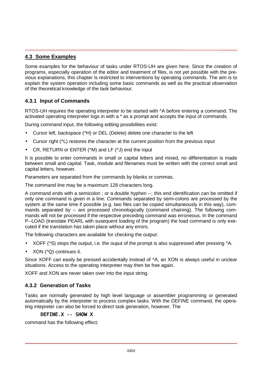#### <span id="page-32-0"></span>**4.3 Some Examples**

Some examples for the behaviour of tasks under RTOS-UH are given here. Since the creation of programs, especially operation of the editor and treatment of files, is not yet possible with the previous explanations, this chapter is restricted to interventions by operating commands. The aim is to explain the system operation including some basic commands as well as the practical observation of the theoretical knowledge of the task behaviour.

#### **4.3.1 Input of Commands**

RTOS-UH requires the operating interpreter to be started with ^A before entering a command. The activated operating interpreter logs in with a \* as a prompt and accepts the input of commands.

During command input, the following editing possibilities exist:

- Cursor left, backspace (^H) or DEL (Delete) delete one character to the left
- Cursor right ( $\Delta$ ) restores the character at the current position from the previous input
- CR, RETURN or ENTER (^M) and LF (^J) end the input

It is possible to enter commands in small or capital letters and mixed, no differentiation is made between small and capital. Task, module and filenames must be written with the correct small and capital letters, however.

Parameters are separated from the commands by blanks or commas.

The command line may be a maximum 128 characters long.

A command ends with a semicolon ; or a double hyphen --; this end identification can be omitted if only one command is given in a line. Commands separated by semi-colons are processed by the system at the same time if possible (e.g. two files can be copied simultaneously in this way), commands separated by -- are processed chronologically (command chaining). The following commands will not be processed if the respective preceding command was erroneous. In the command P--LOAD (translate PEARL with susequent loading of the program) the load command is only executed if the translation has taken place without any errors.

The following characters are available for checking the output:

- XOFF (^S) stops the output, i.e. the ouput of the prompt is also suppressed after pressing ^A.
- XON (^Q) continues it.

Since XOFF can easily be pressed accidentally instead of  $\Delta A$ , an XON is always useful in unclear situations. Access to the operating interpreter may then be free again.

XOFF and XON are never taken over into the input string.

#### **4.3.2 Generation of Tasks**

Tasks are normally generated by high level language or assembler programming or generated automatically by the interpreter to process complex tasks. With the DEFINE command, the operating intepreter can also be forced to direct task generation, however. The

#### DEFINE  $X$  -- SHOW X

command has the following effect: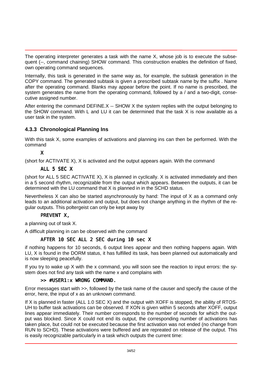<span id="page-33-0"></span>The operating interpreter generates a task with the name X, whose job is to execute the subsequent (--, command chaining) SHOW command. This construction enables the definition of fixed, own operating command sequences.

Internally, this task is generated in the same way as, for example, the subtask generation in the COPY command. The generated subtask is given a prescribed subtask name by the suffix . Name after the operating command. Blanks may appear before the point. If no name is prescribed, the system generates the name from the operating command, followed by a / and a two-digit, consecutive assigned number.

After entering the command DEFINE.X -- SHOW X the system replies with the output belonging to the SHOW command. With L and LU it can be determined that the task X is now available as a user task in the system.

#### **4.3.3 Chronological Planning Ins**

With this task X, some examples of activations and planning ins can then be performed. With the command

X

(short for ACTIVATE X), X is activated and the output appears again. With the command

#### ALL 5 SEC X

(short for ALL 5 SEC ACTIVATE X), X is planned in cyclically. X is activated immediately and then in a 5 second rhythm, recognizable from the output which appears. Between the outputs, it can be determined with the LU command that X is planned in in the SCHD status.

Nevertheless X can also be started asynchronously by hand: The input of X as a command only leads to an additional activation and output, but does not change anything in the rhythm of the regular outputs. This poltergeist can only be kept away by

#### PREVENT X,

a planning out of task X.

A difficult planning in can be observed with the command

#### AFTER 10 SEC ALL 2 SEC during 10 sec X

if nothing happens for 10 seconds, 6 output lines appear and then nothing happens again. With LU, X is found in the DORM status, it has fulfilled its task, has been planned out automatically and is now sleeping peacefully.

If you try to wake up X with the x command, you will soon see the reaction to input errors: the system does not find any task with the name x and complains with

#### >> #USER1:x WRONG COMMAND.

Error messages start with >>, followed by the task name of the causer and specify the cause of the error, here, the input of x as an unknown command.

If X is planned in faster (ALL 1.0 SEC X) and the output with XOFF is stopped, the ability of RTOS-UH to buffer task activations can be observed. If XON is given within 5 seconds after XOFF, output lines appear immediately. Their number corresponds to the number of seconds for which the output was blocked. Since X could not end its output, the corresponding number of activations has taken place, but could not be executed because the first activation was not ended (no change from RUN to SCHD). These activations were buffered and are repreated on release of the output. This is easily recognizable particularly in a task which outputs the current time: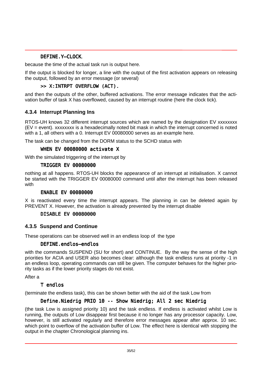#### DEFINE.Y—CLOCK,

<span id="page-34-0"></span>because the time of the actual task run is output here.

If the output is blocked for longer, a line with the output of the first activation appears on releasing the output, followed by an error message (or several)

#### >> X:INTRPT OVERFLOW (ACT).

and then the outputs of the other, buffered activations. The error message indicates that the activation buffer of task X has overflowed, caused by an interrupt routine (here the clock tick).

#### **4.3.4 Interrupt Planning Ins**

RTOS-UH knows 32 different interrupt sources which are named by the designation EV xxxxxxxx (EV = event). xxxxxxxx is a hexadecimally noted bit mask in which the interrupt concerned is noted with a 1, all others with a 0. Interrupt EV 00080000 serves as an example here.

The task can be changed from the DORM status to the SCHD status with

#### WHEN EV 00080000 activate X

With the simulated triggering of the interrupt by

#### TRIGGER EV 00080000

nothing at all happens. RTOS-UH blocks the appearance of an interrupt at initialisation. X cannot be started with the TRIGGER EV 00080000 command until after the interrupt has been released with

#### ENABLE EV 00080000

X is reactivated every time the interrupt appears. The planning in can be deleted again by PREVENT X. However, the activation is already prevented by the interrupt disable

#### DISABLE EV 00080000

#### **4.3.5 Suspend and Continue**

These operations can be observed well in an endless loop of the type

#### DEFINE. endl os-endl os

with the commands SUSPEND (SU for short) and CONTINUE. By the way the sense of the high priorities for ACIA and USER also becomes clear: although the task endless runs at priority -1 in an endless loop, operating commands can still be given. The computer behaves for the higher priority tasks as if the lower priority stages do not exist.

After a

#### T endlos

(terminate the endless task), this can be shown better with the aid of the task Low from

#### Define. Niedrig PRIO 10 -- Show Niedrig; All 2 sec Niedrig

(the task Low is assigned priority 10) and the task endless. If endless is activated whilst Low is running, the outputs of Low disappear first because it no longer has any processor capacity. Low, however, is still activated regularly and therefore error messages appear after approx. 10 sec. which point to overflow of the activation buffer of Low. The effect here is identical with stopping the output in the chapter Chronological planning ins.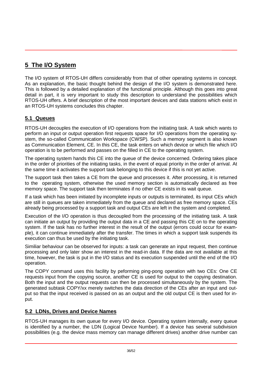## <span id="page-35-0"></span>**5 The I/O System**

The I/O system of RTOS-UH differs considerably from that of other operating systems in concept. As an explanation, the basic thought behind the design of the I/O system is demonstrated here. This is followed by a detailed explanation of the functional principle. Although this goes into great detail in part, it is very important to study this description to understand the possibilities which RTOS-UH offers. A brief description of the most important devices and data stations which exist in an RTOS-UH systems concludes this chapter.

#### **5.1 Queues**

RTOS-UH decouples the execution of I/O operations from the initiating task. A task which wants to perform an input or output operation first requests space for I/O operations from the operating system, the so-called Communication Workspace (CWSP). Such a memory segment is also known as Communication Element, CE. In this CE, the task enters on which device or which file which I/O operation is to be performed and passes on the filled in CE to the operating system.

The operating system hands this CE into the queue of the device concerned. Ordering takes place in the order of priorities of the initiating tasks, in the event of equal priority in the order of arrival. At the same time it activates the support task belonging to this device if this is not yet active.

The support task then takes a CE from the queue and processes it. After processing, it is returned to the operating system, otherwise the used memory section is automatically declared as free memory space. The support task then terminates if no other CE exists in its wait queue.

If a task which has been initiated by incomplete inputs or outputs is terminated, its input CEs which are still in queues are taken immediately from the queue and declared as free memory space. CEs already being processed by a support task and output CEs are left in the system and completed.

Execution of the I/O operation is thus decoupled from the processing of the initiating task. A task can initiate an output by providing the output data in a CE and passing this CE on to the operating system. If the task has no further interest in the result of the output (errors could occur for example), it can continue immediately after the transfer. The times in which a support task suspends its execution can thus be used by the initiating task.

Similiar behaviour can be observed for inputs: a task can generate an input request, then continue processing and only later show an interest in the read-in data. If the data are not available at this time, however, the task is put in the I/O status and its execution suspended until the end of the I/O operation.

The COPY command uses this facility by peforming ping-pong operation with two CEs: One CE requests input from the copying source, another CE is used for output to the copying destination. Both the input and the output requests can then be processed simultaneously by the system. The generated subtask COPY/xx merely switches the data direction of the CEs after an input and output so that the input received is passed on as an output and the old output CE is then used for input.

#### **5.2 LDNs, Drives and Device Names**

RTOS-UH manages its own queue for every I/O device. Operating system internally, every queue is identified by a number, the LDN (Logical Device Number). If a device has several subdivision possibilities (e.g. the device mass memory can manage different drives) another drive number can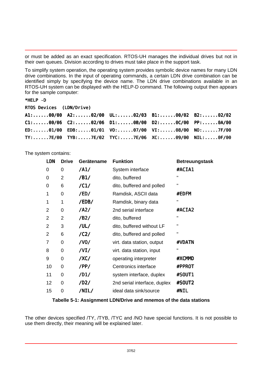<span id="page-36-0"></span>or must be added as an exact specification. RTOS-UH manages the individual drives but not in their own queues. Division according to drives must take place in the support task.

To simplify system operation, the operating system provides symbolic device names for many LDN drive combinations. In the input of operating commands, a certain LDN drive combination can be identified simply by specifying the device name. The LDN drive combinations available in an RTOS-UH system can be displayed with the HELP-D command. The following output then appears for the sample computer:

#### \*HELP -D

RTOS Devices (LDN/Drive)

| $A1: \ldots \ldots 00/00$ $A2: \ldots \ldots 02/00$ $UL: \ldots \ldots 02/03$ $B1: \ldots \ldots 00/02$ $B2: \ldots \ldots 02/02$ |  |  |
|-----------------------------------------------------------------------------------------------------------------------------------|--|--|
|                                                                                                                                   |  |  |
| ED:01/00 EDB:01/01 V0:07/00 VI:08/00 N0:7F/00                                                                                     |  |  |
| TY:7E/00 TYB:7E/02 TYC:7E/06 XC:09/00 NIL:0F/00                                                                                   |  |  |

The system contains:

| <b>LDN</b>     | <b>Drive</b>   | Gerätename | <b>Funktion</b>              | <b>Betreuungstask</b> |
|----------------|----------------|------------|------------------------------|-----------------------|
| 0              | 0              | /A1/       | System interface             | #ACI A1               |
| 0              | $\overline{2}$ | /B1/       | dito, buffered               | "                     |
| 0              | 6              | /C1/       | dito, buffered and polled    | Π                     |
| 1              | 0              | /ED/       | Ramdisk, ASCII data          | #EDFM                 |
| 1              | 1              | /EDB/      | Ramdisk, binary data         | $\mathbf{H}$          |
| 2              | 0              | $/$ A2 $/$ | 2nd serial interface         | #ACI A2               |
| 2              | $\overline{2}$ | /B2/       | dito, buffered               | п                     |
| $\overline{2}$ | 3              | /UL/       | dito, buffered without LF    | п                     |
| 2              | 6              | /C2/       | dito, buffered and polled    | п                     |
| 7              | 0              | /VO/       | virt. data station, output   | #VDATN                |
| 8              | 0              | $/$ VI $/$ | virt. data station, input    | п                     |
| 9              | 0              | /XC/       | operating interpreter        | #XCMMD                |
| 10             | 0              | /PP/       | Centronics interface         | #PPROT                |
| 11             | 0              | /D1/       | system interface, duplex     | #SOUT1                |
| 12             | 0              | /D2/       | 2nd serial interface, duplex | #SOUT2                |
| 15             | 0              | /NIL/      | ideal data sink/source       | #NI L                 |
|                |                |            |                              |                       |

#### **Tabelle 5-1: Assignment LDN/Drive and mnemos of the data stations**

The other devices specified /TY, /TYB, /TYC and /NO have special functions. It is not possible to use them directly, their meaning will be explained later.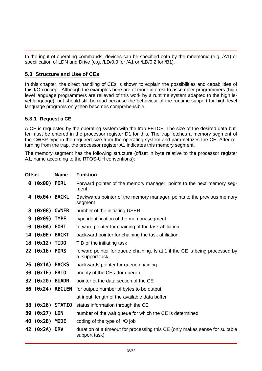<span id="page-37-0"></span>In the input of operating commands, devices can be specified both by the mnemonic (e.g. /A1) or specification of LDN and Drive (e.g. /LD/0.0 for /A1 or /LD/0.2 for /B1).

#### **5.3 Structure and Use of CEs**

In this chapter, the direct handling of CEs is shown to explain the possibilities and capabilities of this I/O concept. Although the examples here are of more interest to assembler programmers (high level language programmers are relieved of this work by a runtime system adapted to the high level language), but should still be read because the behaviour of the runtime support for high level language programs only then becomes comprehensible.

#### **5.3.1 Request a CE**

A CE is requested by the operating system with the trap FETCE. The size of the desired data buffer must be entered in the processor register D1 for this. The trap fetches a memory segment of the CWSP type in the required size from the operating system and parametrizes the CE. After returning from the trap, the processor register A1 indicates this memory segment.

The memory segment has the following structure (offset in byte relative to the processor register A1, name according to the RTOS-UH conventions):

| <b>Offset</b> |                  | <b>Name</b>       | <b>Funktion</b>                                                                                |
|---------------|------------------|-------------------|------------------------------------------------------------------------------------------------|
|               | 0 (0x00) FORL    |                   | Forward pointer of the memory manager, points to the next memory seg-<br>ment                  |
| 4             | (0x04) BACKL     |                   | Backwards pointer of the memory manager, points to the previous memory<br>segment              |
| 8             | (0x08)           | <b>OWNER</b>      | number of the initiating USER                                                                  |
| 9.            | $(0x09)$ TYPE    |                   | type identification of the memory segment                                                      |
|               | 10 (OxOA) FORT   |                   | forward pointer for chaining of the task affiliation                                           |
|               | 14 (OxOE) BACKT  |                   | backward pointer for chaining the task affiliation                                             |
|               | 18 (0x12) TIDO   |                   | TID of the initiating task                                                                     |
|               | 22 (0x16) FORS   |                   | forward pointer for queue chaining. Is at 1 if the CE is being processed by<br>a support task. |
|               | 26 (Ox1A) BACKS  |                   | backwards pointer for queue chaining                                                           |
|               | 30 (0x1E) PRIO   |                   | priority of the CEs (for queue)                                                                |
|               | 32 (0x20) BUADR  |                   | pointer ot the data section of the CE                                                          |
|               | 36 (0x24) RECLEN |                   | for output: number of bytes to be output                                                       |
|               |                  |                   | at input: length of the available data buffer                                                  |
|               |                  | 38 (0x26) STATI 0 | status information through the CE                                                              |
|               | 39 (0x27) LDN    |                   | number of the wait queue for which the CE is determined                                        |
|               | 40 (0x28) MODE   |                   | coding of the type of I/O job                                                                  |
|               | 42 (0x2A) DRV    |                   | duration of a timeout for processing this CE (only makes sense for suitable<br>support task)   |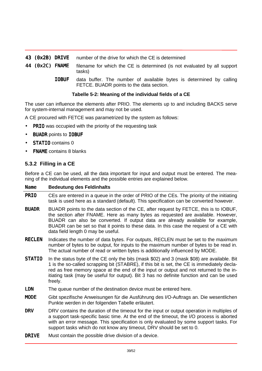- <span id="page-38-0"></span>43 (Ox2B) DRIVE number of the drive for which the CE is determined
- 44 (Ox2C) FNAME filename for which the CE is determined (is not evaluated by all support tasks)
	- IOBUF data buffer. The number of available bytes is determined by calling FETCE. BUADR points to the data section.

#### **Tabelle 5-2: Meaning of the individual fields of a CE**

The user can influence the elements after PRIO. The elements up to and including BACKS serve for system-internal management and may not be used.

A CE procured with FETCE was parametrized by the system as follows:

- **PRIO** was occupied with the priority of the requesting task
- **BUADR** points to I OBUF
- STATI 0 contains 0
- FNAME contains 8 blanks

#### **5.3.2 Filling in a CE**

Before a CE can be used, all the data important for input and output must be entered. The meaning of the individual elements and the possible entries are explained below.

#### Name **Bedeutung des Feldinhalts**

- PRIO CEs are entered in a queue in the order of PRIO of the CEs. The priority of the initiating task is used here as a standard (default). This specification can be converted however.
- BUADR BUADR points to the data section of the CE, after request by FETCE, this is to IOBUF, the section after FNAME. Here as many bytes as requested are available. However, BUADR can also be converted. If output data are already available for example, BUADR can be set so that it points to these data. In this case the request of a CE with data field length 0 may be useful.
- RECLEN Indicates the number of data bytes. For outputs, RECLEN must be set to the maximum number of bytes to be output, for inputs to the maximum number of bytes to be read in. The actual number of read or written bytes is additionally influenced by MODE.
- STATIO In the status byte of the CE only the bits (mask \$02) and 3 (mask \$08) are available. Bit 1 is the so-called scrapping bit (STABRE), if this bit is set, the CE is immediately declared as free memory space at the end of the input or output and not returned to the initiating task (may be useful for output). Bit 3 has no definite function and can be used freely.
- LDN The queue number of the destination device must be entered here.
- MODE Gibt spezifische Anweisungen für die Ausführung des I/O-Auftrags an. Die wesentlichen Punkte werden in der folgenden Tabelle erläutert.
- DRV DRV contains the duration of the timeout for the input or output operation in multiples of a support task-specific basic time. At the end of the timeout, the I/O process is aborted with an error message. This specification is only evaluated by some support tasks. For support tasks which do not know any timeout, DRV should be set to 0.
- DRIVE Must contain the possible drive division of a device.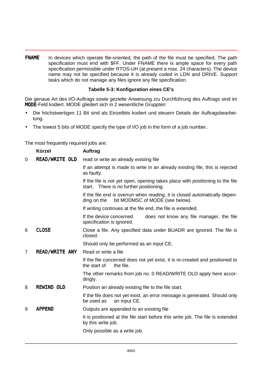<span id="page-39-0"></span>FNAME In devices which operate file-oriented, the path of the file must be specified. The path specification must end with \$FF. Under FNAME there is ample space for every path specification permissible under RTOS-UH (at present a max. 24 characters). The device name may not be specified because it is already coded in LDN and DRIVE. Support tasks which do not manage any files ignore any file specification.

#### **Tabelle 5-3: Konfiguration eines CE's**

Die genaue Art des I/O-Auftrags sowie gezielte Anweisung zru Durchführung des Auftrags sind im MODE-Feld kodiert. MODE gliedert sich in 2 wesentliche Gruppten:

- Die höchstwertigen 11 Bit sind als Einzelbits kodiert und steuern Details der Auftragsbearbeitung.
- The lowest 5 bits of MODE specify the type of I/O job in the form of a job number..

The most frequently required jobs are:

|   | <b>Kürzel</b>         | Auftrag                                                                                                                      |  |  |  |  |  |
|---|-----------------------|------------------------------------------------------------------------------------------------------------------------------|--|--|--|--|--|
| 0 | READ/WRITE OLD        | read or write an already existing file                                                                                       |  |  |  |  |  |
|   |                       | If an attempt is made to write in an already existing file, this is rejected<br>as faulty.                                   |  |  |  |  |  |
|   |                       | If the file is not yet open, opening takes place with positioning to the file<br>start. There is no further positioning.     |  |  |  |  |  |
|   |                       | If the file end is overrun when reading, it is closed automatically depen-<br>bit MODMSC of MODE (see below).<br>ding on the |  |  |  |  |  |
|   |                       | If writing continues at the file end, the file is extended.                                                                  |  |  |  |  |  |
|   |                       | If the device concerned<br>does not know any file manager, the file<br>specification is ignored.                             |  |  |  |  |  |
| 6 | <b>CLOSE</b>          | Close a file. Any specified data under BUADR are ignored. The file is<br>closed.                                             |  |  |  |  |  |
|   |                       | Should only be performed as an input CE.                                                                                     |  |  |  |  |  |
| 7 | <b>READ/WRITE ANY</b> | Read or write a file                                                                                                         |  |  |  |  |  |
|   |                       | If the file concerned does not yet exist, it is re-created and positioned to<br>the file.<br>the start of                    |  |  |  |  |  |
|   |                       | The other remarks from job no. 0 READ/WRITE OLD apply here accor-<br>dingly.                                                 |  |  |  |  |  |
| 8 | <b>REWIND OLD</b>     | Position an already existing file to the file start.                                                                         |  |  |  |  |  |
|   |                       | If the file does not yet exist, an error message is generated. Should only<br>be used as<br>an input CE.                     |  |  |  |  |  |
| 9 | <b>APPEND</b>         | Outputs are appended to an existing file                                                                                     |  |  |  |  |  |
|   |                       | It is positioned at the file start before this write job. The file is extended<br>by this write job.                         |  |  |  |  |  |
|   |                       | Only possible as a write job.                                                                                                |  |  |  |  |  |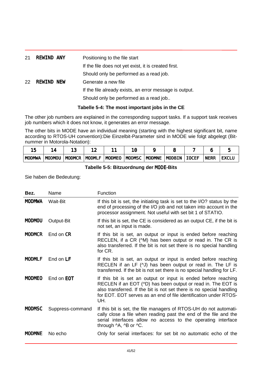<span id="page-40-0"></span>

| 21 | <b>REWIND ANY</b> | Positioning to the file start                           |
|----|-------------------|---------------------------------------------------------|
|    |                   | If the file does not yet exist, it is created first.    |
|    |                   | Should only be performed as a read job.                 |
| 22 | <b>REWIND NEW</b> | Generate a new file                                     |
|    |                   | If the file already exists, an error message is output. |
|    |                   | Should only be performed as a read job                  |

#### **Tabelle 5-4: The most important jobs in the CE**

The other job numbers are explained in the corresponding support tasks. If a support task receives job numbers which it does not know, it generates an error message.

The other bits in MODE have an individual meaning (starting with the highest significant bit, name according to RTOS-UH convention):Die Einzelbit-Parameter sind in MODE wie folgt abgelegt (Bitnummer in Motorola-Notation):

| <b>MODMWA</b> | <b>MODMOU</b> | <b>MODMCR</b> | <b>MODMLF</b> | <b>MODMEO</b> | <b>MODMSC</b> | <b>MODMNE</b> | <b>MODBIN</b> | <b>OCEF</b> | <b>NERR</b> | <b>EXCLU</b> |
|---------------|---------------|---------------|---------------|---------------|---------------|---------------|---------------|-------------|-------------|--------------|

#### **Tabelle 5-5: Bitzuordnung der** MODE**-Bits**

Sie haben die Bedeutung:

| <b>MODMWA</b><br><b>Wait-Bit</b><br>If this bit is set, the initiating task is set to the I/O? status by the<br>end of processing of the I/O job and not taken into account in the<br>processor assignment. Not useful with set bit 1 of STATIO.<br><b>MODMOU</b><br>Output-Bit<br>If this bit is set, the CE is considered as an output CE, if the bit is<br>not set, an input is made.<br><b>MODMCR</b><br>End on CR<br>If this bit is set, an output or input is ended before reaching |  |
|-------------------------------------------------------------------------------------------------------------------------------------------------------------------------------------------------------------------------------------------------------------------------------------------------------------------------------------------------------------------------------------------------------------------------------------------------------------------------------------------|--|
|                                                                                                                                                                                                                                                                                                                                                                                                                                                                                           |  |
|                                                                                                                                                                                                                                                                                                                                                                                                                                                                                           |  |
| RECLEN, if a CR (^M) has been output or read in. The CR is<br>also transferred. If the bit is not set there is no special handling<br>for CR.                                                                                                                                                                                                                                                                                                                                             |  |
| If this bit is set, an output or input is ended before reaching<br><b>MODMLF</b><br>End on LF<br>RECLEN if an LF $(\land)$ has been output or read in. The LF is<br>transferred. If the bit is not set there is no special handling for LF.                                                                                                                                                                                                                                               |  |
| <b>MODMEO</b><br>End on EOT<br>If this bit is set an output or input is ended before reaching<br>RECLEN if an EOT (^D) has been output or read in. The EOT is<br>also transferred. If the bit is not set there is no special handling<br>for EOT. EOT serves as an end of file identification under RTOS-<br>UH.                                                                                                                                                                          |  |
| <b>MODMSC</b><br>If this bit is set, the file managers of RTOS-UH do not automati-<br>Suppress-command<br>cally close a file when reading past the end of the file and the<br>serial interfaces allow no access to the operating interface<br>through ^A, ^B or ^C.                                                                                                                                                                                                                       |  |
| <b>MODMNE</b><br>No echo<br>Only for serial interfaces: for set bit no automatic echo of the                                                                                                                                                                                                                                                                                                                                                                                              |  |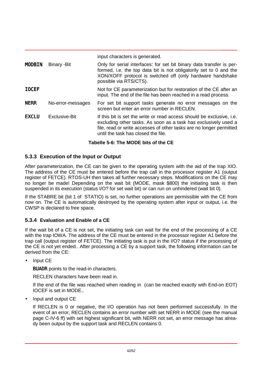|               |                   | input characters is generated.                                                                                                                                                                                                                                |
|---------------|-------------------|---------------------------------------------------------------------------------------------------------------------------------------------------------------------------------------------------------------------------------------------------------------|
| <b>MODBIN</b> | Binary - Bit      | Only for serial interfaces: for set bit binary data transfer is per-<br>formed, i.e. the top data bit is not obligatorily set to 0 and the<br>XON/XOFF protocol is switched off (only hardware handshake<br>possible via RTS/CTS).                            |
| <b>LOCEF</b>  |                   | Not for CE parameterization but for restoration of the CE after an<br>input. The end of the file has been reached in a read process.                                                                                                                          |
| <b>NERR</b>   | No-error-messages | For set bit support tasks generate no error messages on the<br>screen but enter an error number in RECLEN.                                                                                                                                                    |
| <b>EXCLU</b>  | Exclusive-Bit     | If this bit is set the write or read access should be exclusive, <i>i.e.</i><br>excluding other tasks. As soon as a task has exclusively used a<br>file, read or write accesses of other tasks are no longer permitted<br>until the task has closed the file. |

#### **Tabelle 5-6: The MODE bits of the CE**

#### **5.3.3 Execution of the Input or Output**

After parameterization, the CE can be given to the operating system with the aid of the trap XIO. The address of the CE must be entered before the trap call in the processor register A1 (output register of FETCE). RTOS-UH then takes all further necessary steps. Modifications on the CE may no longer be made! Depending on the wait bit (MODE, mask \$800) the initiating task is then suspended in its execution (status I/O? for set wait bit) or can run on unhindered (wait bit 0).

If the STABRE bit (bit 1 of STATIO) is set, no further operations are permissible with the CE from now on. The CE is automatically destroyed by the operating system after input or output, i.e. the CWSP is declared to free space.

#### **5.3.4 Evaluation and Enable of a CE**

If the wait bit of a CE is not set, the initiating task can wait for the end of the processing of a CE with the trap IOWA. The address of the CE must be entered in the processor register A1 before the trap call (output register of FETCE). The initiating task is put in the I/O? status if the processing of the CE is not yet ended.. After processing a CE by a support task, the following information can be derived from the CE:

• Input CE

BUADR points to the read-in characters.

RECLEN characters have been read in.

If the end of the file was reached when reading in (can be reached exactly with End-on EOT) IOCEF is set in MODE..

• Input and output CE

If RECLEN is 0 or negative, the I/O operation has not been performed successfully. In the event of an error, RECLEN contains an error number with set NERR in MODE (see the manual page C-IV-6 ff) with set highest significant bit, with NERR not set, an error message has already been output by the support task and RECLEN contains 0.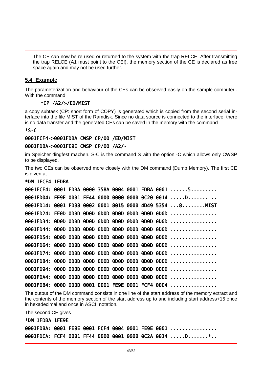<span id="page-42-0"></span>The CE can now be re-used or returned to the system with the trap RELCE. After transmitting the trap RELCE (A1 must point to the CE!), the memory section of the CE is declared as free space again and may not be used further.

#### **5.4 Example**

The parameterization and behaviour of the CEs can be observed easily on the sample computer.. With the command

#### \*CP /A2/>/ED/MIST

a copy subtask (CP: short form of COPY) is generated which is copied from the second serial interface into the file MIST of the Ramdisk. Since no data source is connected to the interface, there is no data transfer and the generated CEs can be saved in the memory with the command

 $*S-C$ 

#### 0001FCF4->0001FDBA CWSP CP/00 /ED/MIST

#### 0001FDBA->0001FE9E CWSP CP/00 /A2/-

im Speicher dingfest machen. S-C is the command S with the option -C which allows only CWSP to be displayed.

The two CEs can be observed more closely with the DM command (Dump Memory). The first CE is given at

| *DM 1FCF4 1FDBA |  |  |  |  |                                                                                               |
|-----------------|--|--|--|--|-----------------------------------------------------------------------------------------------|
|                 |  |  |  |  | 0001FCF4: 0001 FDBA 0000 358A 0004 0001 FDBA 0001 5                                           |
|                 |  |  |  |  | $0001$ FDO4: FE9E 0001 FF44 0000 0000 0000 0C20 0014 D                                        |
|                 |  |  |  |  | 0001FD14: 0001 FD38 0002 0001 8015 0000 4D49 5354 8 MIST                                      |
|                 |  |  |  |  |                                                                                               |
|                 |  |  |  |  |                                                                                               |
|                 |  |  |  |  | $0001$ FD44: $000$ D $000$ D $000$ D $000$ D $000$ D $000$ D $000$ D $000$ D $000$ D $\ldots$ |
|                 |  |  |  |  | $0001$ FD54: $000$ D $000$ D $000$ D $000$ D $000$ D $000$ D $000$ D $000$ D $000$ D $\ldots$ |
|                 |  |  |  |  | $0001$ FD64: $000$ D $000$ D $000$ D $000$ D $000$ D $000$ D $000$ D $000$ D $000$ D $\ldots$ |
|                 |  |  |  |  |                                                                                               |
|                 |  |  |  |  | $0001$ FD84: $000$ D $000$ D $000$ D $000$ D $000$ D $000$ D $000$ D $000$ D $000$ D $\ldots$ |
|                 |  |  |  |  |                                                                                               |
|                 |  |  |  |  |                                                                                               |
|                 |  |  |  |  | 0001FDB4: 0D0D 0D0D 0001 0001 FE9E 0001 FCF4 0004                                             |

The output of the DM command consists in one line of the start address of the memory extract and the contents of the memory section of the start address up to and including start address+15 once in hexadecimal and once in ASCII notation.

The second CE gives \*DM 1FDBA 1FE9E

|  |  |  |  | 0001FDBA: 0001 FE9E 0001 FCF4 0004 0001 FE9E 0001   |
|--|--|--|--|-----------------------------------------------------|
|  |  |  |  | 0001FDCA: FCF4 0001 FF44 0000 0001 0000 0C2A 0014 D |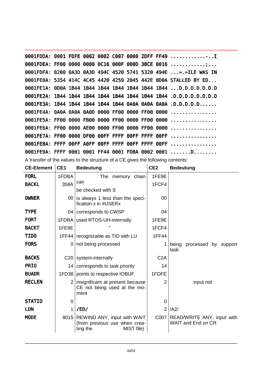|  |  |  |  | 0001FDDA: 0001 FDFE 0002 0002 C007 0000 2DFF FF49                |
|--|--|--|--|------------------------------------------------------------------|
|  |  |  |  | 0001FDEA: FF00 0000 0000 0C16 000F 000D 3BCE 0016                |
|  |  |  |  | 0001FDFA: 8200 0A3D 0A3D 494C 4520 5741 5320 494E  = = LE WAS IN |
|  |  |  |  | 0001FE0A: 5354 414C 4C45 4420 4259 2045 442E 0D0A STALLED BY ED  |
|  |  |  |  | 0001FE1A: 0D0A 1B44 1B44 1B44 1B44 1B44 1B44 1B44 D.D.D.D.D.D.D  |
|  |  |  |  |                                                                  |
|  |  |  |  | 0001FE3A: 1B44 1B44 1B44 1B44 1B44 0A0A 0A0A 0A0A .D.D.D.D.D     |
|  |  |  |  |                                                                  |
|  |  |  |  |                                                                  |
|  |  |  |  |                                                                  |
|  |  |  |  |                                                                  |
|  |  |  |  |                                                                  |
|  |  |  |  | 0001FE9A: FFFF 0001 0001 FF44 0001 FDBA 0002 0001 D              |
|  |  |  |  |                                                                  |

A transfer of the values to the structure of a CE gives the following contents:

| <b>CE-Element</b>  | CE <sub>1</sub> | <b>Bedeutung</b>                                                                              | CE <sub>2</sub>  | <b>Bedeutung</b>                                        |
|--------------------|-----------------|-----------------------------------------------------------------------------------------------|------------------|---------------------------------------------------------|
| <b>FORL</b>        | 1FDBA           | The<br>memory<br>chain                                                                        | 1FE9E            |                                                         |
| <b>BACKL</b>       | 358A            | can                                                                                           | 1FCF4            |                                                         |
|                    |                 | be checked with S                                                                             |                  |                                                         |
| <b>OWNER</b>       |                 | 00 is always 1 less than the speci-<br>fication x in #USERx                                   | 00               |                                                         |
| <b>TYPE</b>        | 04 I            | corresponds to CWSP                                                                           | 04               |                                                         |
| <b>FORT</b>        | 1FDBA           | used RTOS-UH-internally                                                                       | 1FE9E            |                                                         |
| <b>BACKT</b>       | 1FE9E           |                                                                                               | 1FCF4            |                                                         |
| TI <sub>DO</sub>   | 1FF44           | recognizable as TID with LU                                                                   | <b>1FF44</b>     |                                                         |
| <b>FORS</b>        | 0               | not being processed                                                                           |                  | being<br>processed by support                           |
|                    |                 |                                                                                               |                  | task                                                    |
| <b>BACKS</b>       | C <sub>20</sub> | system-internally                                                                             | C <sub>2</sub> A |                                                         |
| PRI <sub>0</sub>   | 14              | corresponds to task priority                                                                  | 14               |                                                         |
| <b>BUADR</b>       |                 | 1FD38 points to respective IOBUF                                                              | 1FDFE            |                                                         |
| <b>RECLEN</b>      | 2               | insignificant at present because<br>CE not being used at the mo-<br>ment                      | $\overline{2}$   | input not                                               |
| STATI <sub>0</sub> | 0               |                                                                                               | 0                |                                                         |
| <b>LDN</b>         | 1               | /ED/                                                                                          | $\overline{2}$   | /A2/                                                    |
| <b>MODE</b>        |                 | 8015   REWIND ANY, input with WAIT<br>(from previous use when crea-<br>MIST file)<br>ting the | C007             | READ/WRITE ANY, input with<br><b>WAIT and End on CR</b> |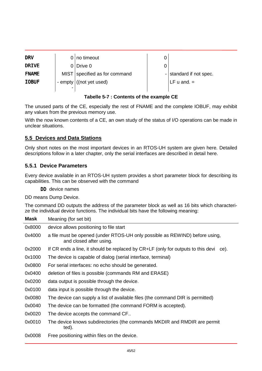<span id="page-44-0"></span>

| <b>DRV</b>    | $0 no$ timeout                |                         |
|---------------|-------------------------------|-------------------------|
| DRI VE        | $0$ Drive 0                   |                         |
| <b>FNAME</b>  | MIST specified as for command | - standard if not spec. |
| <b>I OBUF</b> | - empty ((not yet used)       | LF $u$ and. $=$         |
|               |                               |                         |

#### **Tabelle 5-7 : Contents of the example CE**

The unused parts of the CE, especially the rest of FNAME and the complete IOBUF, may exhibit any values from the previous memory use.

With the now known contents of a CE, an own study of the status of I/O operations can be made in unclear situations.

#### **5.5 Devices and Data Stations**

Only short notes on the most important devices in an RTOS-UH system are given here. Detailed descriptions follow in a later chapter, only the serial interfaces are described in detail here.

#### **5.5.1 Device Parameters**

Every device available in an RTOS-UH system provides a short parameter block for describing its capabilities. This can be observed with the command

DD device names

DD means Dump Device.

The command DD outputs the address of the parameter block as well as 16 bits which characterize the individual device functions. The individual bits have the following meaning:

| <b>Mask</b> | Meaning (for set bit)                                                                                  |
|-------------|--------------------------------------------------------------------------------------------------------|
| 0x8000      | device allows positioning to file start                                                                |
| 0x4000      | a file must be opened (under RTOS-UH only possible as REWIND) before using,<br>and closed after using. |
| 0x2000      | If CR ends a line, it should be replaced by CR+LF (only for outputs to this devi<br>ce).               |
| 0x1000      | The device is capable of dialog (serial interface, terminal)                                           |
| 0x0800      | For serial interfaces: no echo should be generated.                                                    |
| 0x0400      | deletion of files is possible (commands RM and ERASE)                                                  |
| 0x0200      | data output is possible through the device.                                                            |
| 0x0100      | data input is possible through the device.                                                             |
| 0x0080      | The device can supply a list of available files (the command DIR is permitted)                         |
| 0x0040      | The device can be formatted (the command FORM is accepted).                                            |
| 0x0020      | The device accepts the command CF                                                                      |
| 0x0010      | The device knows subdirectories (the commands MKDIR and RMDIR are permit<br>ted).                      |
| 0x0008      | Free positioning within files on the device.                                                           |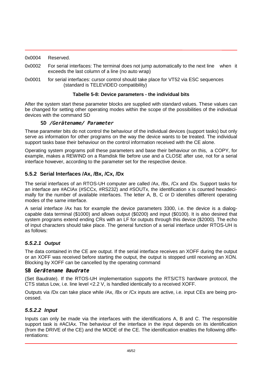<span id="page-45-0"></span>

| 0x0004 | Reserved. |
|--------|-----------|
|        |           |

- 0x0002 For serial interfaces: The terminal does not jump automatically to the next line when it exceeds the last column of a line (no auto wrap)
- 0x0001 for serial interfaces: cursor control should take place for VT52 via ESC sequences (standard is TELEVIDEO compatibility)

#### **Tabelle 5-8: Device parameters - the individual bits**

After the system start these parameter blocks are supplied with standard values. These values can be changed for setting other operating modes within the scope of the possibilities of the individual devices with the command SD

#### SD /Gerätename/ Parameter

These parameter bits do not control the behaviour of the individual devices (support tasks) but only serve as information for other programs on the way the device wants to be treated. The individual support tasks base their behaviour on the control information received with the CE alone.

Operating system programs poll these parameters and base their behaviour on this, a COPY, for example, makes a REWIND on a Ramdisk file before use and a CLOSE after use, not for a serial interface however, according to the parameter set for the respective device.

#### **5.5.2 Serial Interfaces /Ax, /Bx, /Cx, /Dx**

The serial interfaces of an RTOS-UH computer are called /Ax, /Bx, /Cx and /Dx. Support tasks for an interface are #ACIAx (#SCCx, #RS232) and #SOUTx, the identification x is counted hexadecimally for the number of available interfaces. The letter A, B, C or D identifies different operating modes of the same interface.

A serial interface /Ax has for example the device parameters 3300, i.e. the device is a dialogcapable data terminal (\$1000) and allows output (\$0200) and input (\$0100). It is also desired that system programs extend ending CRs with an LF for outputs through this device (\$2000). The echo of input characters should take place. The general function of a serial interface under RTOS-UH is as follows:

#### *5.5.2.1 Output*

The data contained in the CE are output. If the serial interface receives an XOFF during the output or an XOFF was received before starting the output, the output is stopped until receiving an XON. Blocking by XOFF can be cancelled by the operating command

#### SB Gerätename Baudrate

(Set Baudrate). If the RTOS-UH implementation supports the RTS/CTS hardware protocol, the CTS status Low, i.e. line level <2.2 V, is handled identically to a received XOFF.

Outputs via /Dx can take place while /Ax, /Bx or /Cx inputs are active, i.e. input CEs are being processed.

#### *5.5.2.2 Input*

Inputs can only be made via the interfaces with the identifications A, B and C. The responsible support task is #ACIAx. The behaviour of the interface in the input depends on its identification (from the DRIVE of the CE) and the MODE of the CE. The identification enables the following differentiations: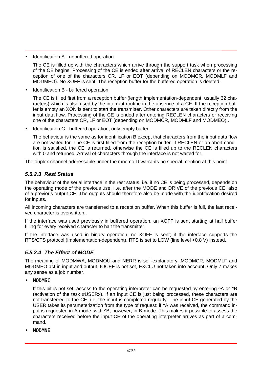<span id="page-46-0"></span>• Identification A - unbuffered operation

The CE is filled up with the characters which arrive through the support task when processing of the CE begins. Processing of the CE is ended after arrival of RECLEN characters or the reception of one of the characters CR, LF or EOT (depending on MODMCR, MODMLF and MODMEO). No XOFF is sent. The reception buffer for the buffered operation is deleted.

• Identification B - buffered operation

The CE is filled first from a reception buffer (length implementation-dependent, usually 32 characters) which is also used by the interrupt routine in the absence of a CE. If the reception buffer is empty an XON is sent to start the transmitter. Other characters are taken directly from the input data flow. Processing of the CE is ended after entering RECLEN characters or receiving one of the characters CR, LF or EOT (depending on MODMCR, MODMLF and MODMEO)..

• Identification C - buffered operation, only empty buffer

The behaviour is the same as for identification B except that characters from the input data flow are not waited for. The CE is first filled from the reception buffer. If RECLEN or an abort condition is satisfied, the CE is returned, otherwise the CE is filled up to the RECLEN characters with 0 and returned. Arrival of characters through the interface is not waited for.

The duplex channel addressable under the mnemo D warrants no special mention at this point.

#### *5.5.2.3 Rest Status*

The behaviour of the serial interface in the rest status, i.e. if no CE is being processed, depends on the operating mode of the previous use, i..e. after the MODE and DRIVE of the previous CE, also of a previous output CE. The outputs should therefore also be made with the identification desired for inputs.

All incoming characters are transferred to a reception buffer. When this buffer is full, the last received character is overwritten..

If the interface was used previously in buffered operation, an XOFF is sent starting at half buffer filling for every received character to halt the transmitter.

If the interface was used in binary operation, no XOFF is sent; if the interface supports the RTS/CTS protocol (implementation-dependent), RTS is set to LOW (line level <0.8 V) instead.

#### *5.5.2.4 The Effect of MODE*

The meaning of MODMWA, MODMOU and NERR is self-explanatory. MODMCR, MODMLF and MODMEO act in input and output. IOCEF is not set, EXCLU not taken into account. Only 7 makes any sense as a job number.

• MODMSC

If this bit is not set, access to the operating interpreter can be requested by entering  $\Delta A$  or  $\Delta B$ (activation of the task #USERx). If an input CE is just being processed, these characters are not transferred to the CE, i.e. the input is completed regularly. The input CE generated by the USER takes its parameterization from the type of request: if ^A was received, the command input is requested in A mode, with ^B, however, in B-mode. This makes it possible to assess the characters received before the input CE of the operating interpreter arrives as part of a command.

• MODMNE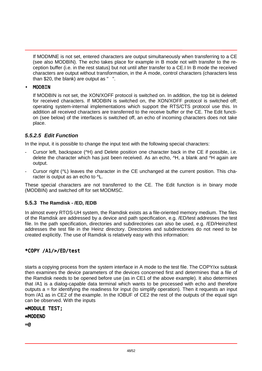<span id="page-47-0"></span>If MODMNE is not set, entered characters are output simultaneously when transferring to a CE (see also MODBIN). The echo takes place for example in B mode not with transfer to the reception buffer (i.e. in the rest status) but not until after transfer to a CE.I In B mode the received characters are output without transformation, in the A mode, control characters (characters less than \$20, the blank) are output as " ".

#### • MODBIN

If MODBIN is not set, the XON/XOFF protocol is switched on. In addition, the top bit is deleted for received characters. If MODBIN is switched on, the XON/XOFF protocol is switched off; operating system-internal implementations which support the RTS/CTS protocol use this. In addition all received characters are transferred to the receive buffer or the CE. The Edit function (see below) of the interfaces is switched off, an echo of incoming characters does not take place.

#### *5.5.2.5 Edit Function*

In the input, it is possible to change the input text with the following special characters:

- Cursor left, backspace ( $\vee$ H) and Delete position one character back in the CE if possible, i.e. delete the character which has just been received. As an echo, ^H, a blank and ^H again are output.
- Cursor right ( $PL$ ) leaves the character in the CE unchanged at the current position. This character is output as an echo to  $\Lambda$ .

These special characters are not transferred to the CE. The Edit function is in binary mode (MODBIN) and switched off for set MODMSC.

#### **5.5.3 The Ramdisk - /ED, /EDB**

In almost every RTOS-UH system, the Ramdisk exists as a file-oriented memory medium. The files of the Ramdisk are addressed by a device and path specification, e.g. /ED/test addresses the test file. In the path specification, directories and subdirectories can also be used, e.g. /ED/Heinz/test addresses the test file in the Heinz directory. Directories and subdirectories do not need to be created explicitly. The use of Ramdisk is relatively easy with this information:

#### \*COPY /A1/>/ED/test

starts a copying process from the system interface in A mode to the test file. The COPY/xx subtask then examines the device parameters of the devices concerned first and determines that a file of the Ramdisk needs to be opened before use (as in CE1 of the above example). It also determines that /A1 is a dialog-capable data terminal which wants to be processed with echo and therefore outputs a = for identifying the readiness for input (to simplify operation). Then it requests an input from /A1 as in CE2 of the example. In the IOBUF of CE2 the rest of the outputs of the equal sign can be observed. With the inputs

#### =MODULE TEST;

#### $=$ MOD $FND$

 $=$   $\omega$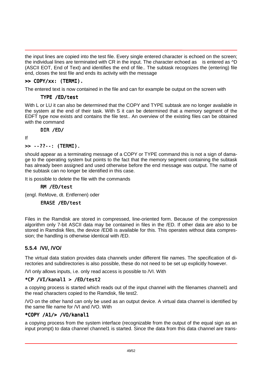<span id="page-48-0"></span>the input lines are copied into the test file. Every single entered character is echoed on the screen; the individual lines are terminated with CR in the input. The character echoed as is entered as  $\Delta D$ (ASCII EOT, End of Text) and identifies the end of file.. The subtask recognizes the (entering) file end, closes the test file and ends its activity with the message

#### >> COPY/xx: (TERMI).

The entered text is now contained in the file and can for example be output on the screen with

#### TYPE /ED/test

With L or LU it can also be determined that the COPY and TYPE subtask are no longer available in the system at the end of their task. With S it can be determined that a memory segment of the EDFT type now exists and contains the file test.. An overview of the existing files can be obtained with the command

DIR /ED/

If

#### >> --??--: (TERMI).

should appear as a terminating message of a COPY or TYPE command this is not a sign of damage to the operating system but points to the fact that the memory segment containing the subtask has already been assigned and used otherwise before the end message was output. The name of the subtask can no longer be identified in this case.

It is possible to delete the file with the commands

#### RM /ED/test

(engl. ReMove, dt. Entfernen) oder

#### ERASE /ED/test

Files in the Ramdisk are stored in compressed, line-oriented form. Because of the compression algorithm only 7-bit ASCII data may be contained in files in the /ED. If other data are also to be stored in Ramdisk files, the device /EDB is available for this. This operates without data compression; the handling is otherwise identical with /ED.

#### **5.5.4 /VI/, /VO/**

The virtual data station provides data channels under different file names. The specification of directories and subdirectories is also possible, these do not need to be set up explicitly however.

/VI only allows inputs, i.e. only read access is possible to /VI. With

#### \*CP /VI/kanal1 > /ED/test2

a copying process is started which reads out of the input channel with the filenames channel1 and the read characters copied to the Ramdisk, file test2.

/VO on the other hand can only be used as an output device. A virtual data channel is identified by the same file name for /VI and /VO. With

#### \*COPY /A1/> /VO/kanal1

a copying process from the system interface (recognizable from the output of the equal sign as an input prompt) to data channel channel1 is started. Since the data from this data channel are trans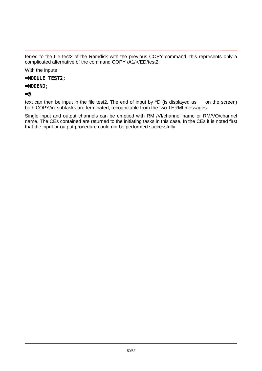ferred to the file test2 of the Ramdisk with the previous COPY command, this represents only a complicated alternative of the command COPY /A1/>/ED/test2.

With the inputs

=MODULE TEST2;

#### =MODEND;

 $=$ @

text can then be input in the file test2. The end of input by  $\Delta D$  (is displayed as on the screen) both COPY/xx subtasks are terminated, recognizable from the two TERMI messages.

Single input and output channels can be emptied with RM /VI/channel name or RM/VO/channel name. The CEs contained are returned to the initiating tasks in this case. In the CEs it is noted first that the input or output procedure could not be performed successfully.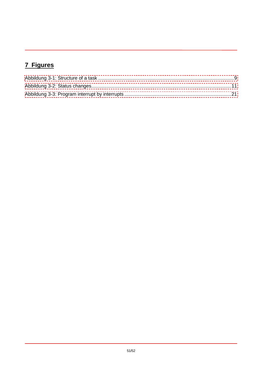## <span id="page-50-0"></span>7 Figures